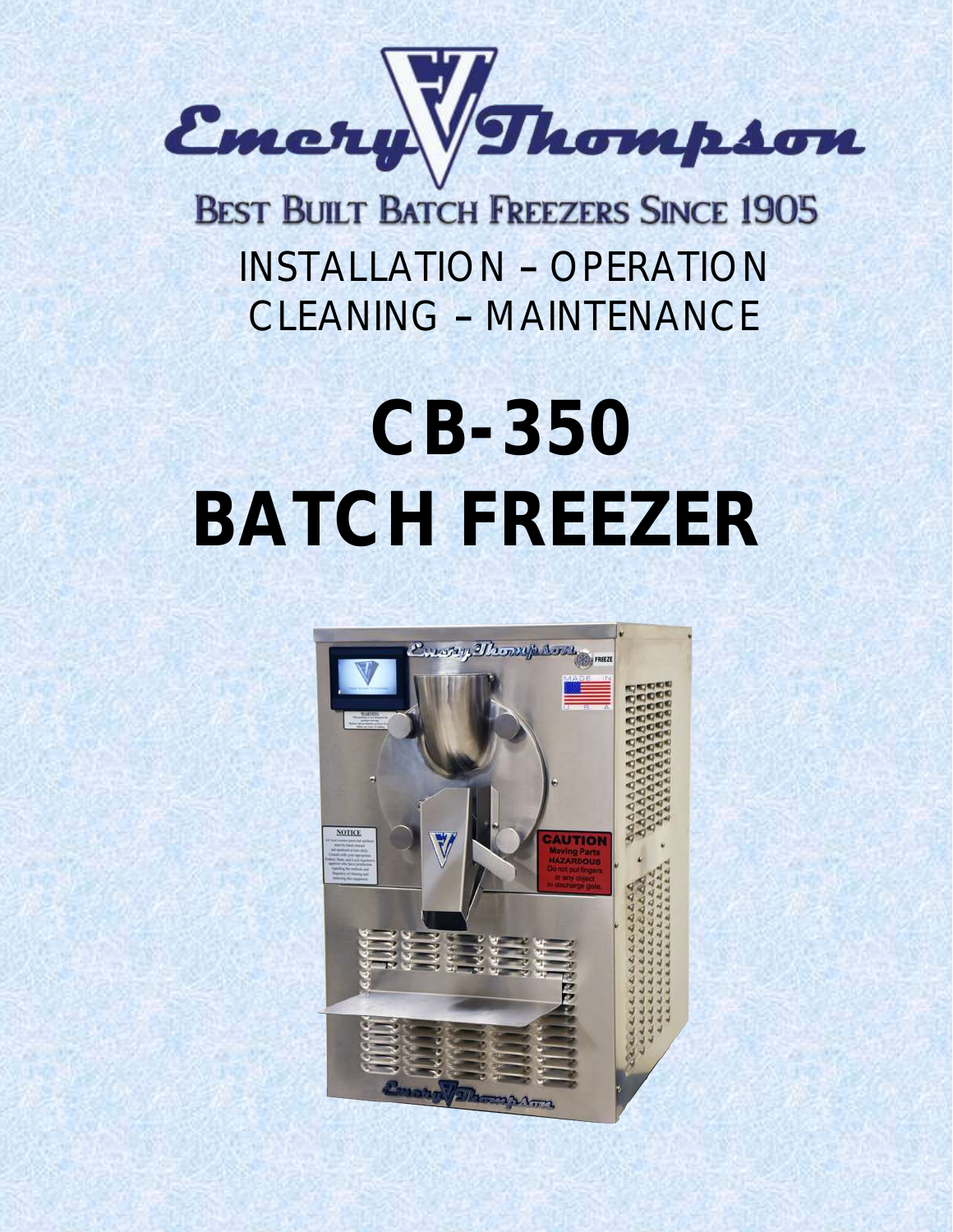

**BEST BUILT BATCH FREEZERS SINCE 1905** INSTALLATION - OPERATION CLEANING - MAINTENANCE

# **CB-350 BATCH FREEZER**

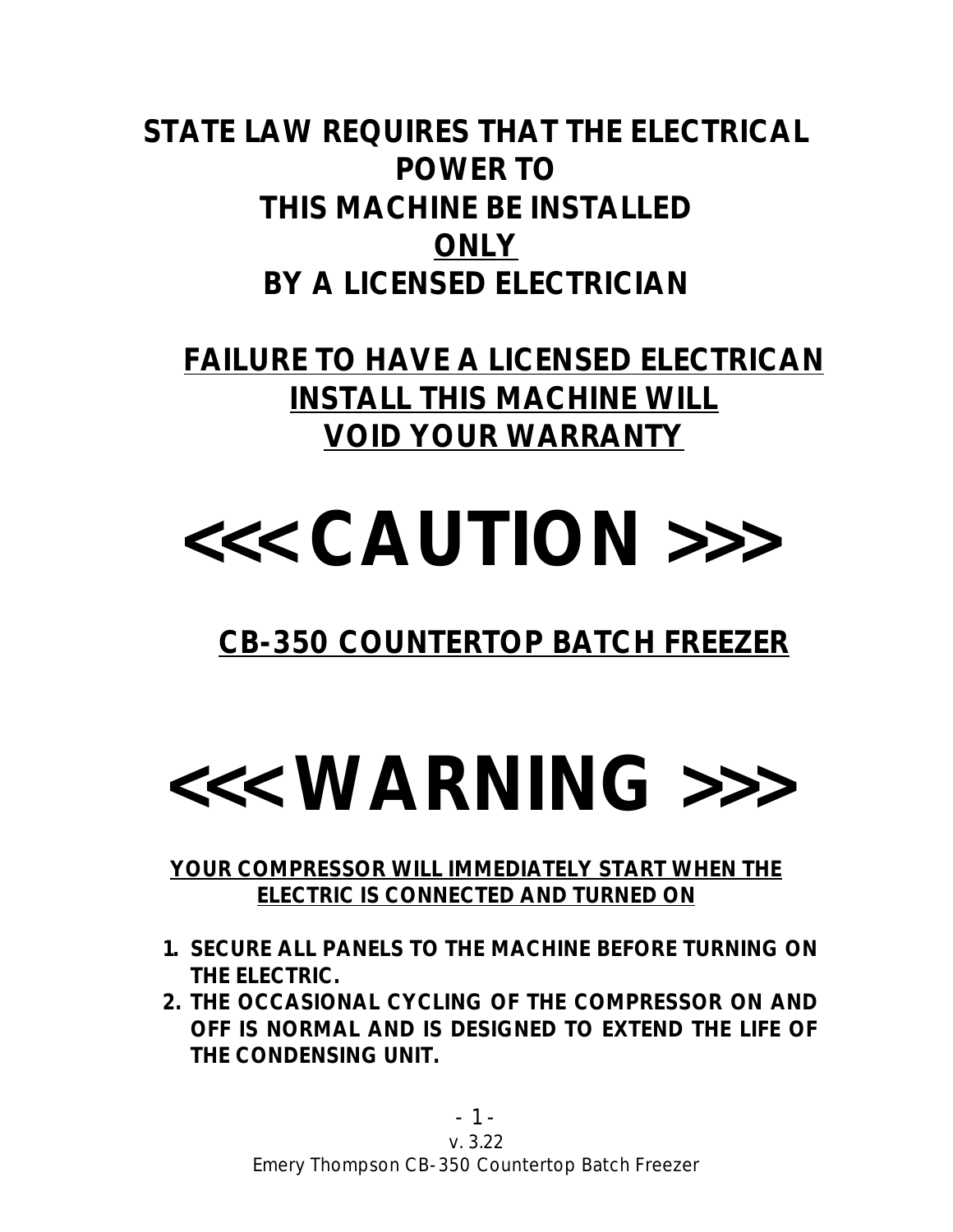**STATE LAW REQUIRES THAT THE ELECTRICAL POWER TO THIS MACHINE BE INSTALLED ONLY BY A LICENSED ELECTRICIAN**

**FAILURE TO HAVE A LICENSED ELECTRICAN INSTALL THIS MACHINE WILL VOID YOUR WARRANTY**

## **<<< CAUTION >>>**

## **CB-350 COUNTERTOP BATCH FREEZER**

## **<<< WARNING >>>**

#### **YOUR COMPRESSOR WILL IMMEDIATELY START WHEN THE ELECTRIC IS CONNECTED AND TURNED ON**

- **1. SECURE ALL PANELS TO THE MACHINE BEFORE TURNING ON THE ELECTRIC.**
- **2. THE OCCASIONAL CYCLING OF THE COMPRESSOR ON AND OFF IS NORMAL AND IS DESIGNED TO EXTEND THE LIFE OF THE CONDENSING UNIT.**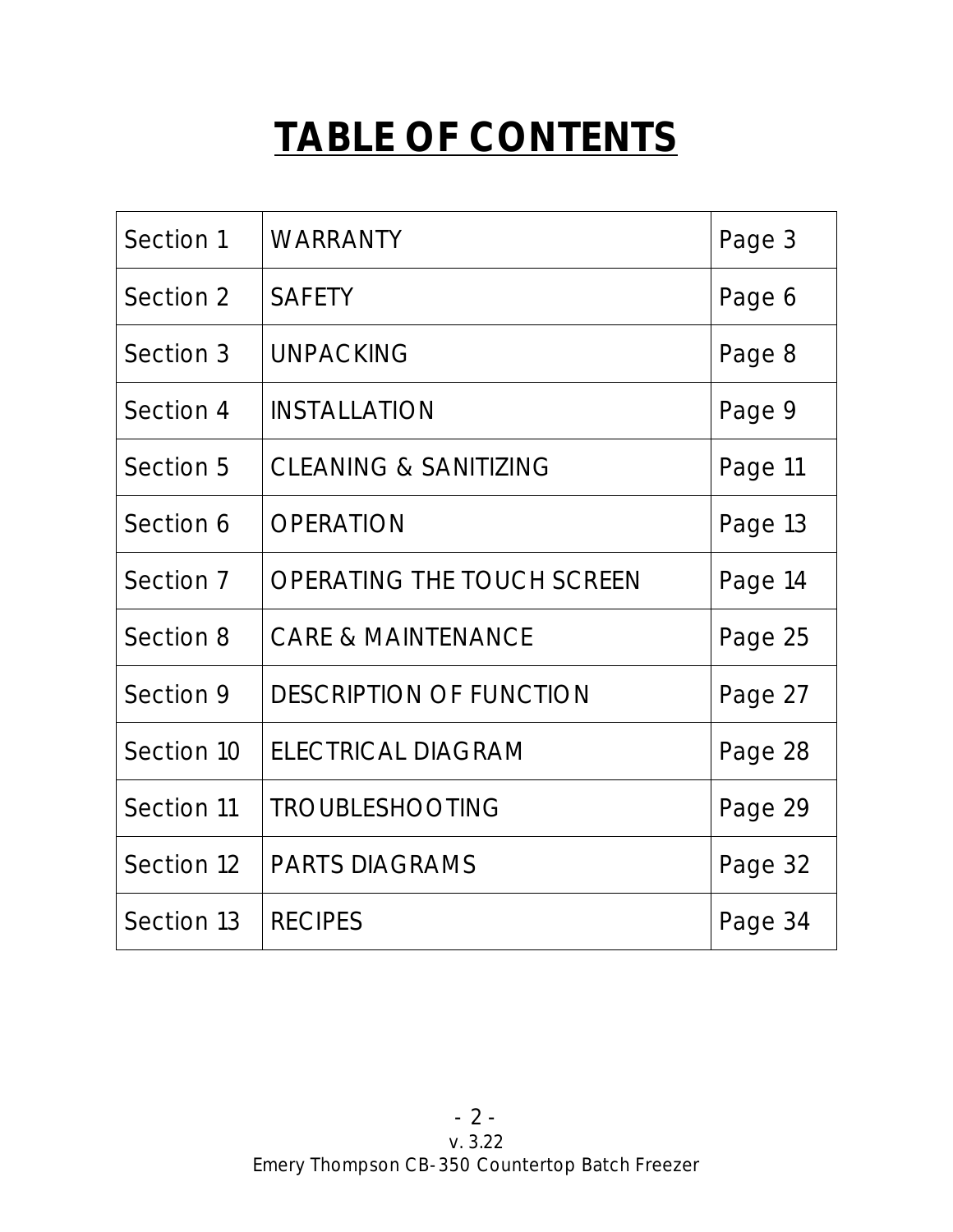## **TABLE OF CONTENTS**

| Section 1  | <b>WARRANTY</b>                   | Page 3  |
|------------|-----------------------------------|---------|
| Section 2  | <b>SAFETY</b>                     | Page 6  |
| Section 3  | <b>UNPACKING</b>                  | Page 8  |
| Section 4  | <b>INSTALLATION</b>               | Page 9  |
| Section 5  | CLEANING & SANITIZING             | Page 11 |
| Section 6  | <b>OPERATION</b>                  | Page 13 |
| Section 7  | <b>OPERATING THE TOUCH SCREEN</b> | Page 14 |
| Section 8  | <b>CARE &amp; MAINTENANCE</b>     | Page 25 |
| Section 9  | <b>DESCRIPTION OF FUNCTION</b>    | Page 27 |
| Section 10 | ELECTRICAL DIAGRAM                | Page 28 |
| Section 11 | <b>TROUBLESHOOTING</b>            | Page 29 |
| Section 12 | <b>PARTS DIAGRAMS</b>             | Page 32 |
| Section 13 | <b>RECIPES</b>                    | Page 34 |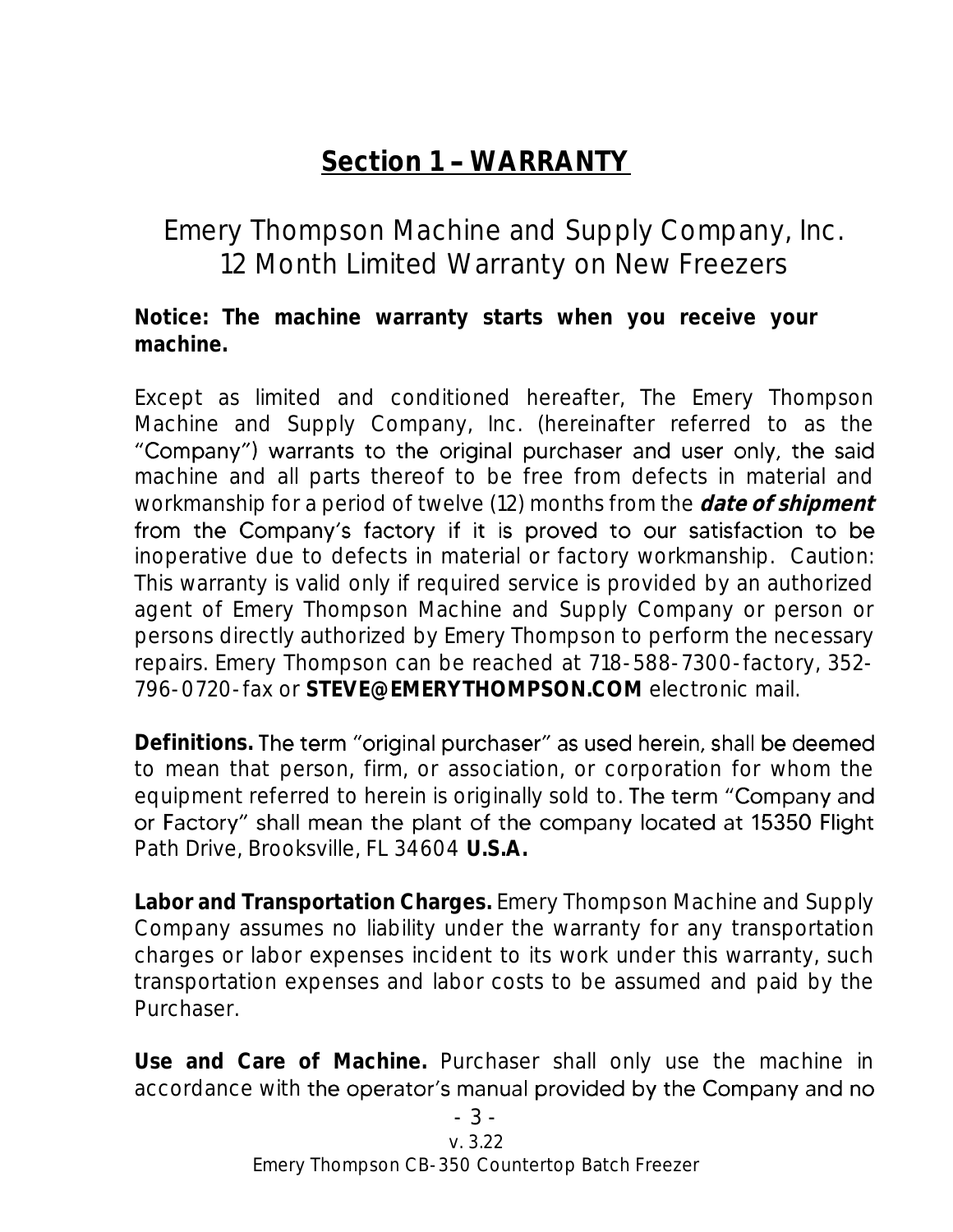## **Section 1 WARRANTY**

### Emery Thompson Machine and Supply Company, Inc. 12 Month Limited Warranty on New Freezers

**Notice: The machine warranty starts when you receive your machine.**

Except as limited and conditioned hereafter, The Emery Thompson Machine and Supply Company, Inc. (hereinafter referred to as the "Company") warrants to the original purchaser and user only, the said machine and all parts thereof to be free from defects in material and workmanship for a period of twelve (12) months from the **date of shipment** from the Company's factory if it is proved to our satisfaction to be inoperative due to defects in material or factory workmanship. Caution: This warranty is valid only if required service is provided by an authorized agent of Emery Thompson Machine and Supply Company or person or persons directly authorized by Emery Thompson to perform the necessary repairs. Emery Thompson can be reached at 718-588-7300-factory, 352- 796-0720-fax or **STEVE@EMERYTHOMPSON.COM** electronic mail.

Definitions. The term "original purchaser" as used herein, shall be deemed to mean that person, firm, or association, or corporation for whom the equipment referred to herein is originally sold to. The term "Company and or Factory" shall mean the plant of the company located at 15350 Flight Path Drive, Brooksville, FL 34604 **U.S.A.**

**Labor and Transportation Charges.** Emery Thompson Machine and Supply Company assumes no liability under the warranty for any transportation charges or labor expenses incident to its work under this warranty, such transportation expenses and labor costs to be assumed and paid by the Purchaser.

**Use and Care of Machine.** Purchaser shall only use the machine in accordance with the operator's manual provided by the Company and no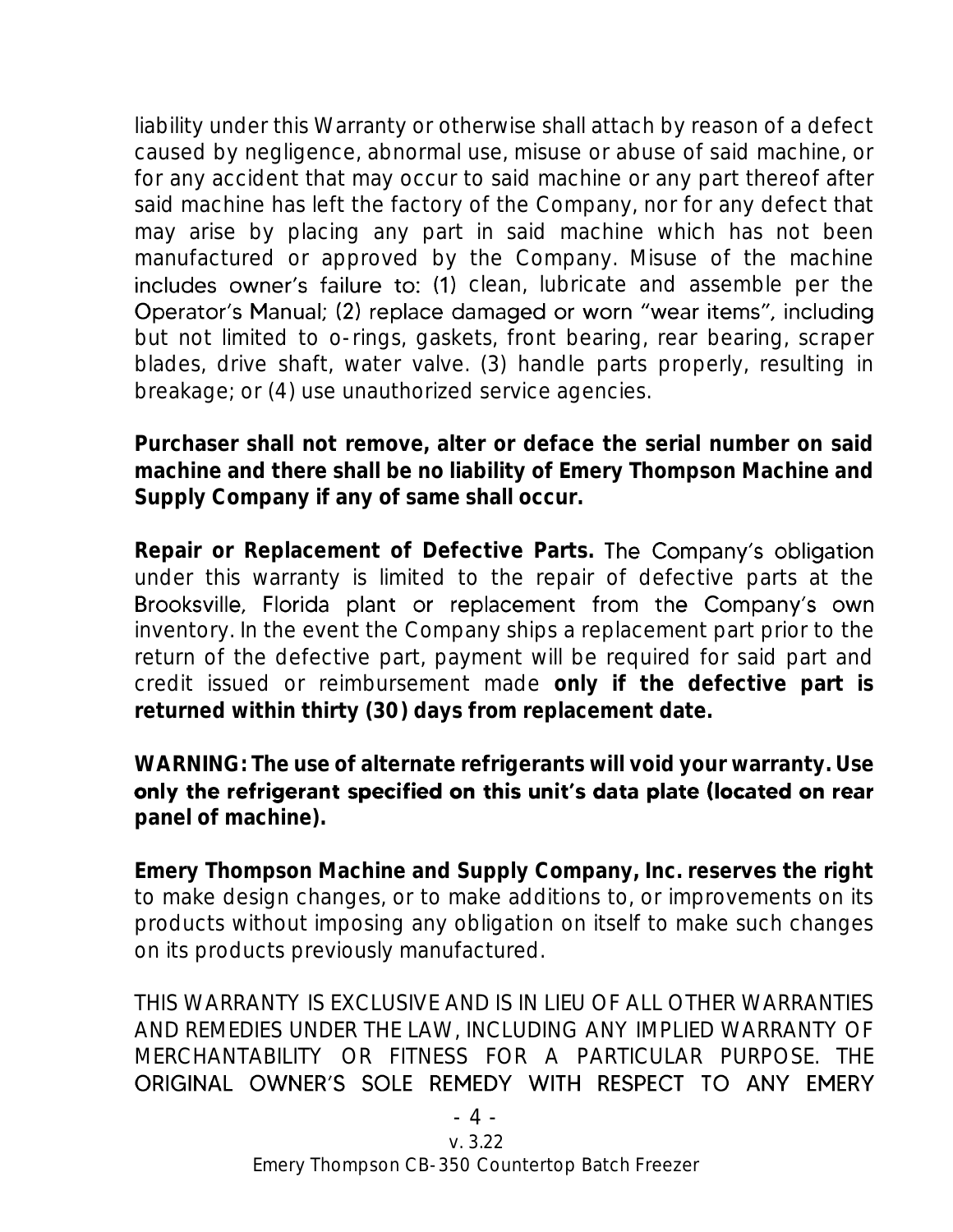liability under this Warranty or otherwise shall attach by reason of a defect caused by negligence, abnormal use, misuse or abuse of said machine, or for any accident that may occur to said machine or any part thereof after said machine has left the factory of the Company, nor for any defect that may arise by placing any part in said machine which has not been manufactured or approved by the Company. Misuse of the machine includes owner's failure to: (1) clean, lubricate and assemble per the Operator's Manual; (2) replace damaged or worn "wear items", including but not limited to o-rings, gaskets, front bearing, rear bearing, scraper blades, drive shaft, water valve. (3) handle parts properly, resulting in breakage; or (4) use unauthorized service agencies.

**Purchaser shall not remove, alter or deface the serial number on said machine and there shall be no liability of Emery Thompson Machine and Supply Company if any of same shall occur.**

**Repair or Replacement of Defective Parts.**  under this warranty is limited to the repair of defective parts at the Brooksville, Florida plant or replacement from the Company's own inventory. In the event the Company ships a replacement part prior to the return of the defective part, payment will be required for said part and credit issued or reimbursement made **only if the defective part is returned within thirty (30) days from replacement date.**

**WARNING: The use of alternate refrigerants will void your warranty. Use**  only the refrigerant specified on this unit's data plate (located on rear **panel of machine).**

**Emery Thompson Machine and Supply Company, Inc. reserves the right**  to make design changes, or to make additions to, or improvements on its products without imposing any obligation on itself to make such changes on its products previously manufactured.

THIS WARRANTY IS EXCLUSIVE AND IS IN LIEU OF ALL OTHER WARRANTIES AND REMEDIES UNDER THE LAW, INCLUDING ANY IMPLIED WARRANTY OF MERCHANTABILITY OR FITNESS FOR A PARTICULAR PURPOSE. THE ORIGINAL OWNER'S SOLE REMEDY WITH RESPECT TO ANY EMERY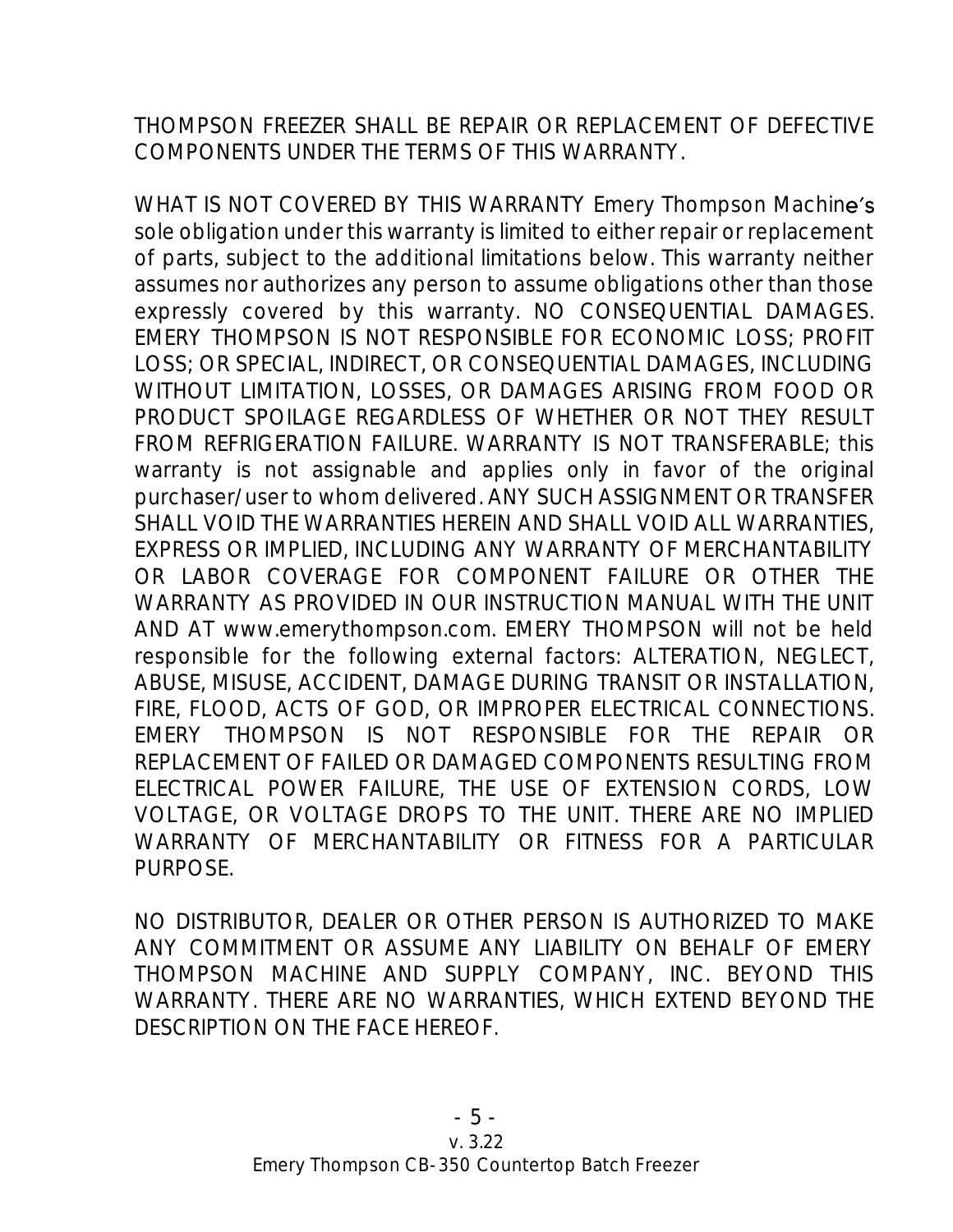THOMPSON FREEZER SHALL BE REPAIR OR REPLACEMENT OF DEFECTIVE COMPONENTS UNDER THE TERMS OF THIS WARRANTY.

WHAT IS NOT COVERED BY THIS WARRANTY Emery Thompson Machine's sole obligation under this warranty is limited to either repair or replacement of parts, subject to the additional limitations below. This warranty neither assumes nor authorizes any person to assume obligations other than those expressly covered by this warranty. NO CONSEQUENTIAL DAMAGES. EMERY THOMPSON IS NOT RESPONSIBLE FOR ECONOMIC LOSS; PROFIT LOSS; OR SPECIAL, INDIRECT, OR CONSEQUENTIAL DAMAGES, INCLUDING WITHOUT LIMITATION, LOSSES, OR DAMAGES ARISING FROM FOOD OR PRODUCT SPOILAGE REGARDLESS OF WHETHER OR NOT THEY RESULT FROM REFRIGERATION FAILURE. WARRANTY IS NOT TRANSFERABLE; this warranty is not assignable and applies only in favor of the original purchaser/user to whom delivered. ANY SUCH ASSIGNMENT OR TRANSFER SHALL VOID THE WARRANTIES HEREIN AND SHALL VOID ALL WARRANTIES, EXPRESS OR IMPLIED, INCLUDING ANY WARRANTY OF MERCHANTABILITY OR LABOR COVERAGE FOR COMPONENT FAILURE OR OTHER THE WARRANTY AS PROVIDED IN OUR INSTRUCTION MANUAL WITH THE UNIT AND AT www.emerythompson.com. EMERY THOMPSON will not be held responsible for the following external factors: ALTERATION, NEGLECT, ABUSE, MISUSE, ACCIDENT, DAMAGE DURING TRANSIT OR INSTALLATION, FIRE, FLOOD, ACTS OF GOD, OR IMPROPER ELECTRICAL CONNECTIONS. EMERY THOMPSON IS NOT RESPONSIBLE FOR THE REPAIR OR REPLACEMENT OF FAILED OR DAMAGED COMPONENTS RESULTING FROM ELECTRICAL POWER FAILURE, THE USE OF EXTENSION CORDS, LOW VOLTAGE, OR VOLTAGE DROPS TO THE UNIT. THERE ARE NO IMPLIED WARRANTY OF MERCHANTABILITY OR FITNESS FOR A PARTICULAR PURPOSE.

NO DISTRIBUTOR, DEALER OR OTHER PERSON IS AUTHORIZED TO MAKE ANY COMMITMENT OR ASSUME ANY LIABILITY ON BEHALF OF EMERY THOMPSON MACHINE AND SUPPLY COMPANY, INC. BEYOND THIS WARRANTY. THERE ARE NO WARRANTIES, WHICH EXTEND BEYOND THE DESCRIPTION ON THE FACE HEREOF.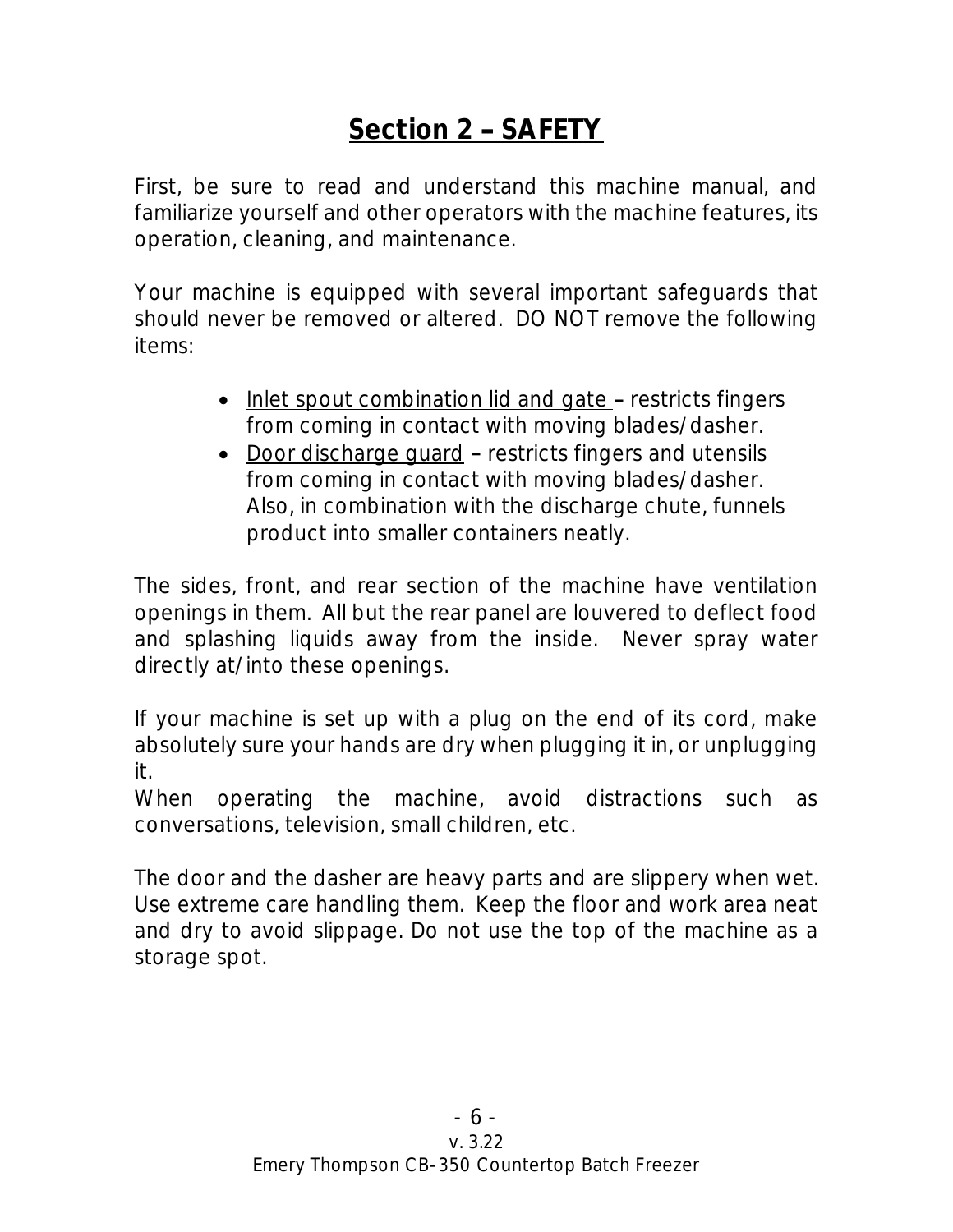## Section 2 - SAFETY

First, be sure to read and understand this machine manual, and familiarize yourself and other operators with the machine features, its operation, cleaning, and maintenance.

Your machine is equipped with several important safeguards that should never be removed or altered. DO NOT remove the following items:

- Inlet spout combination lid and gate restricts fingers from coming in contact with moving blades/dasher.
- Door discharge guard restricts fingers and utensils from coming in contact with moving blades/dasher. Also, in combination with the discharge chute, funnels product into smaller containers neatly.

The sides, front, and rear section of the machine have ventilation openings in them. All but the rear panel are louvered to deflect food and splashing liquids away from the inside. Never spray water directly at/into these openings.

If your machine is set up with a plug on the end of its cord, make absolutely sure your hands are dry when plugging it in, or unplugging it.

When operating the machine, avoid distractions such as conversations, television, small children, etc.

The door and the dasher are heavy parts and are slippery when wet. Use extreme care handling them. Keep the floor and work area neat and dry to avoid slippage. Do not use the top of the machine as a storage spot.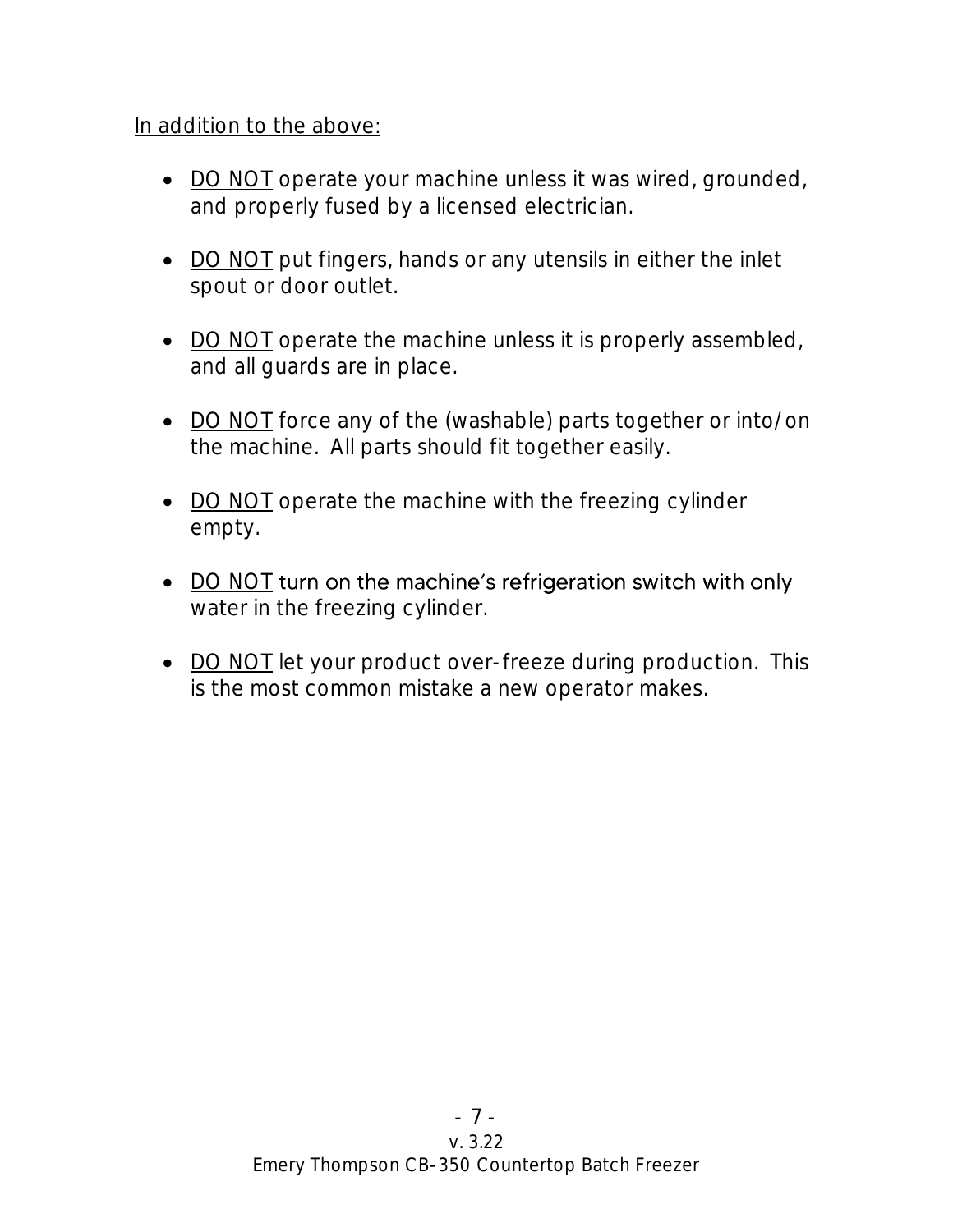#### In addition to the above:

- DO NOT operate your machine unless it was wired, grounded, and properly fused by a licensed electrician.
- DO NOT put fingers, hands or any utensils in either the inlet spout or door outlet.
- DO NOT operate the machine unless it is properly assembled, and all guards are in place.
- DO NOT force any of the (washable) parts together or into/on the machine. All parts should fit together easily.
- DO NOT operate the machine with the freezing cylinder empty.
- $DO NOT$  turn on the machine's refrigeration switch with only water in the freezing cylinder.
- DO NOT let your product over-freeze during production. This is the most common mistake a new operator makes.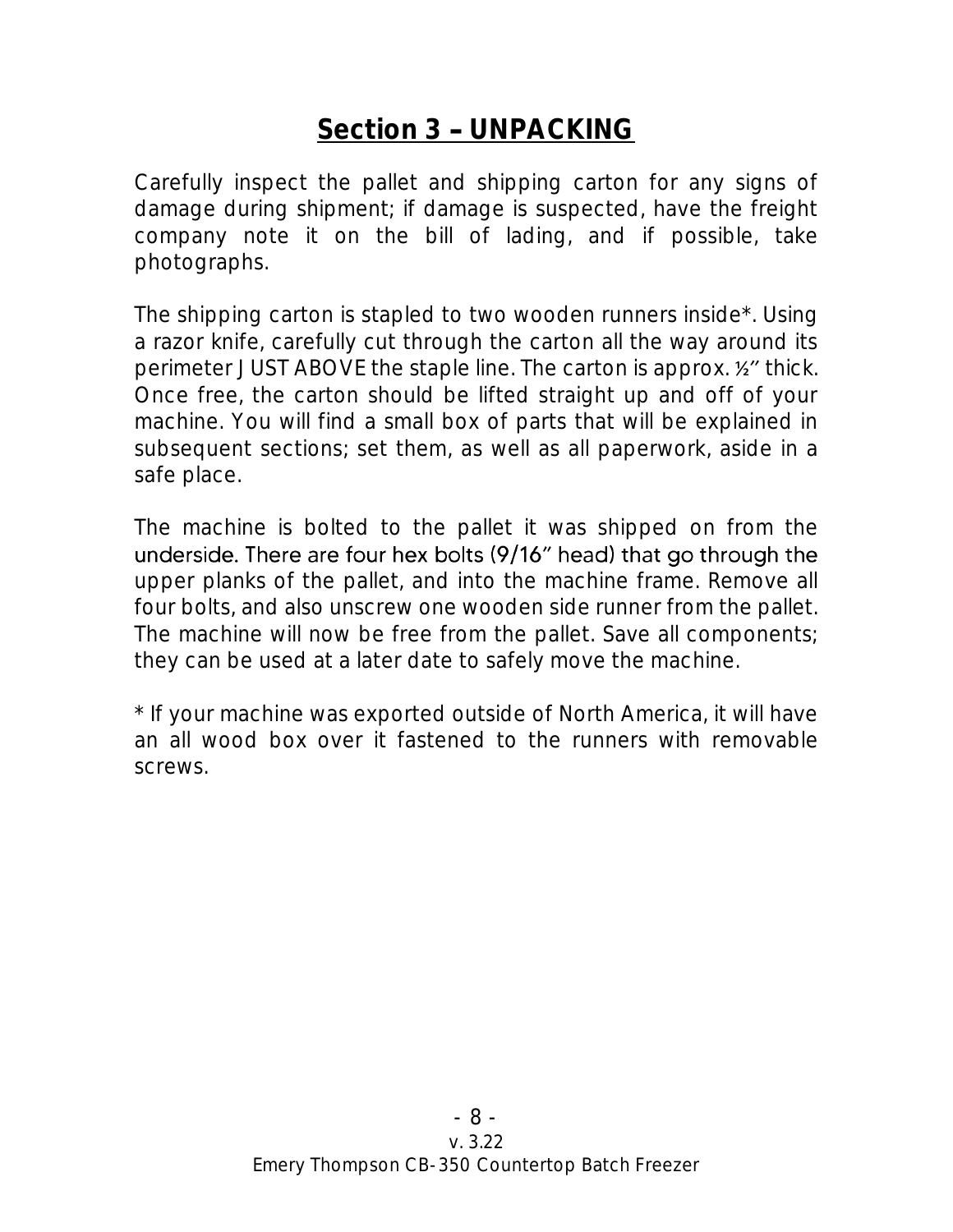## Section 3 - UNPACKING

Carefully inspect the pallet and shipping carton for any signs of damage during shipment; if damage is suspected, have the freight company note it on the bill of lading, and if possible, take photographs.

The shipping carton is stapled to two wooden runners inside\*. Using a razor knife, carefully cut through the carton all the way around its perimeter JUST ABOVE the staple line. The carton is approx.  $\frac{1}{2}$  thick. Once free, the carton should be lifted straight up and off of your machine. You will find a small box of parts that will be explained in subsequent sections; set them, as well as all paperwork, aside in a safe place.

The machine is bolted to the pallet it was shipped on from the underside. There are four hex bolts (9/16" head) that go through the upper planks of the pallet, and into the machine frame. Remove all four bolts, and also unscrew one wooden side runner from the pallet. The machine will now be free from the pallet. Save all components; they can be used at a later date to safely move the machine.

\* If your machine was exported outside of North America, it will have an all wood box over it fastened to the runners with removable screws.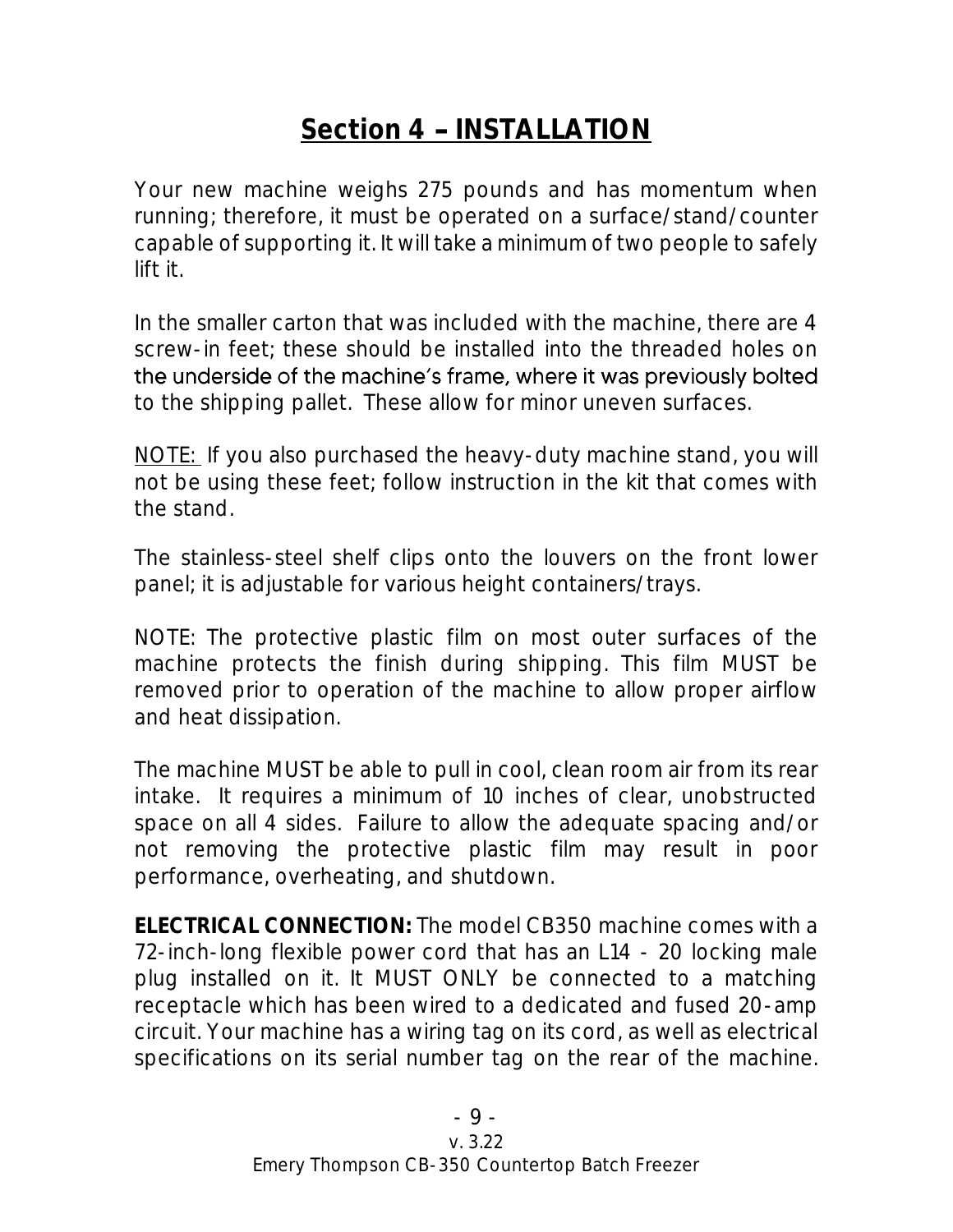## Section 4 - INSTALLATION

Your new machine weighs 275 pounds and has momentum when running; therefore, it must be operated on a surface/stand/counter capable of supporting it. It will take a minimum of two people to safely lift it.

In the smaller carton that was included with the machine, there are 4 screw-in feet; these should be installed into the threaded holes on the underside of the machine's frame, where it was previously bolted to the shipping pallet. These allow for minor uneven surfaces.

NOTE: If you also purchased the heavy-duty machine stand, you will not be using these feet; follow instruction in the kit that comes with the stand.

The stainless-steel shelf clips onto the louvers on the front lower panel; it is adjustable for various height containers/trays.

NOTE: The protective plastic film on most outer surfaces of the machine protects the finish during shipping. This film MUST be removed prior to operation of the machine to allow proper airflow and heat dissipation.

The machine MUST be able to pull in cool, clean room air from its rear intake. It requires a minimum of 10 inches of clear, unobstructed space on all 4 sides. Failure to allow the adequate spacing and/or not removing the protective plastic film may result in poor performance, overheating, and shutdown.

**ELECTRICAL CONNECTION:** The model CB350 machine comes with a 72-inch-long flexible power cord that has an L14 - 20 locking male plug installed on it. It MUST ONLY be connected to a matching receptacle which has been wired to a dedicated and fused 20-amp circuit. Your machine has a wiring tag on its cord, as well as electrical specifications on its serial number tag on the rear of the machine.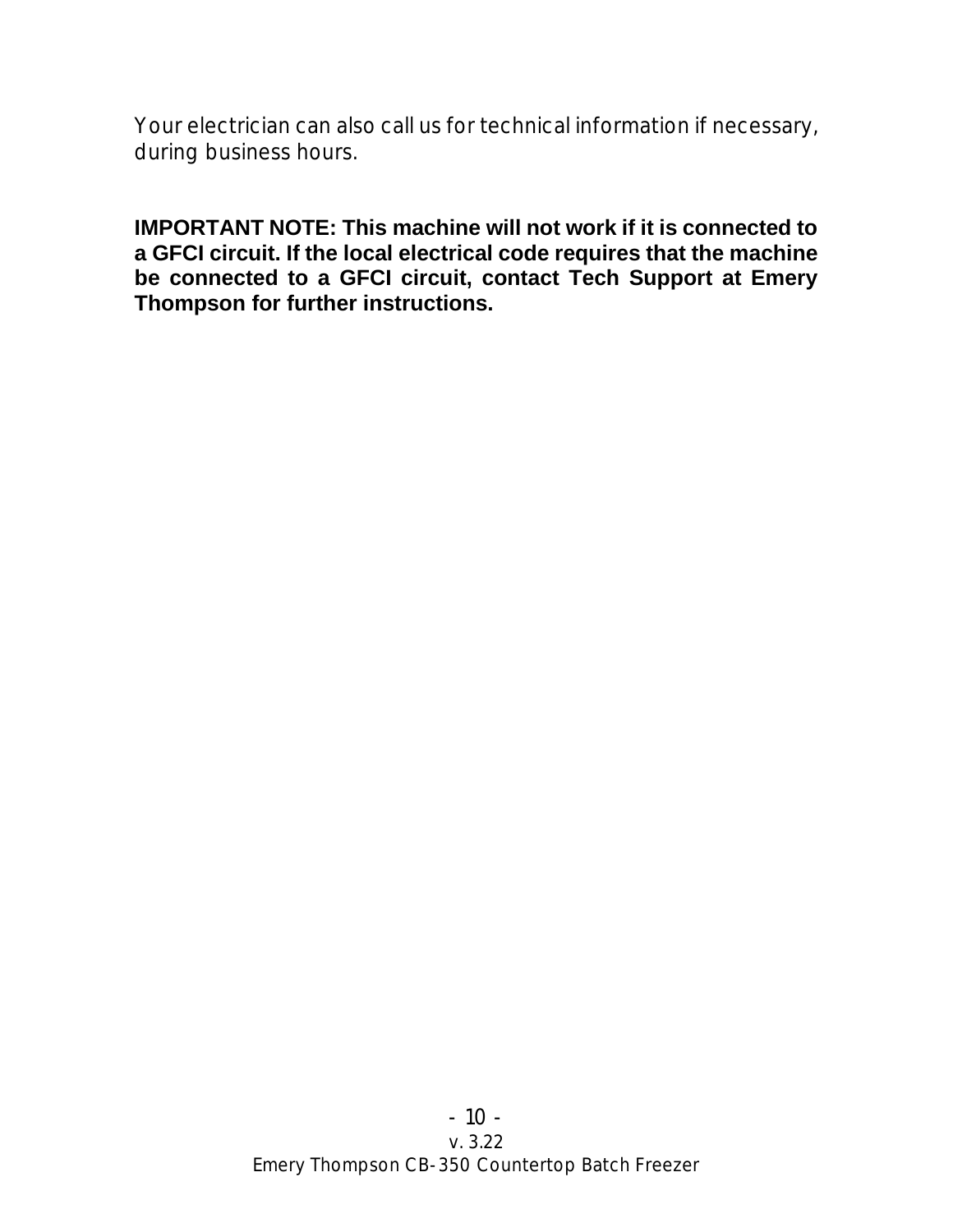Your electrician can also call us for technical information if necessary, during business hours.

**IMPORTANT NOTE: This machine will not work if it is connected to a GFCI circuit. If the local electrical code requires that the machine be connected to a GFCI circuit, contact Tech Support at Emery Thompson for further instructions.**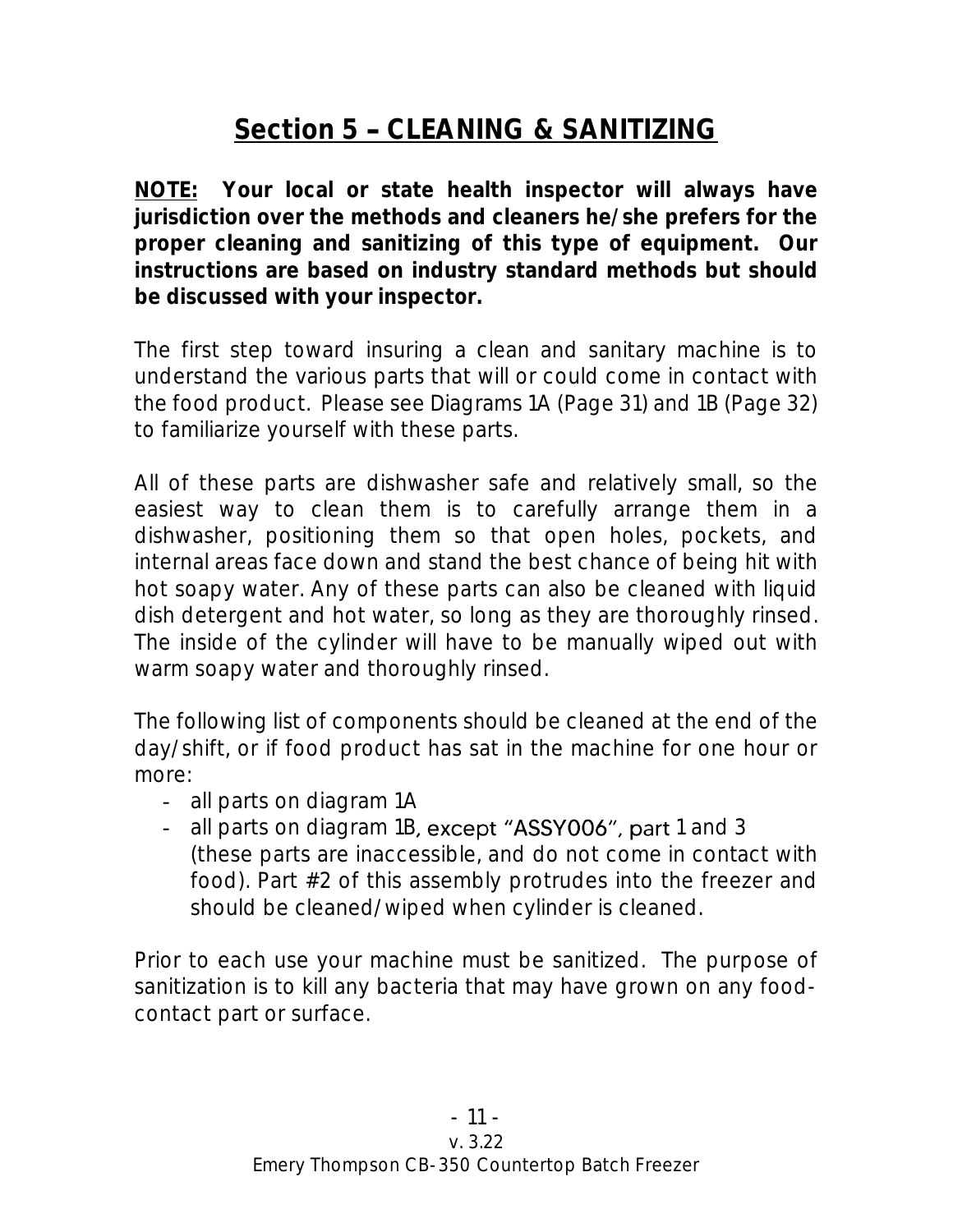## Section 5 - CLEANING & SANITIZING

**NOTE: Your local or state health inspector will always have jurisdiction over the methods and cleaners he/she prefers for the proper cleaning and sanitizing of this type of equipment. Our instructions are based on industry standard methods but should be discussed with your inspector.**

The first step toward insuring a clean and sanitary machine is to understand the various parts that will or could come in contact with the food product. Please see Diagrams 1A (Page 31) and 1B (Page 32) to familiarize yourself with these parts.

All of these parts are dishwasher safe and relatively small, so the easiest way to clean them is to carefully arrange them in a dishwasher, positioning them so that open holes, pockets, and internal areas face down and stand the best chance of being hit with hot soapy water. Any of these parts can also be cleaned with liquid dish detergent and hot water, so long as they are thoroughly rinsed. The inside of the cylinder will have to be manually wiped out with warm soapy water and thoroughly rinsed.

The following list of components should be cleaned at the end of the day/shift, or if food product has sat in the machine for one hour or more:

- all parts on diagram 1A
- all parts on diagram 1B, except "ASSY006", part 1 and 3 (these parts are inaccessible, and do not come in contact with food). Part #2 of this assembly protrudes into the freezer and should be cleaned/wiped when cylinder is cleaned.

Prior to each use your machine must be sanitized. The purpose of sanitization is to kill any bacteria that may have grown on any foodcontact part or surface.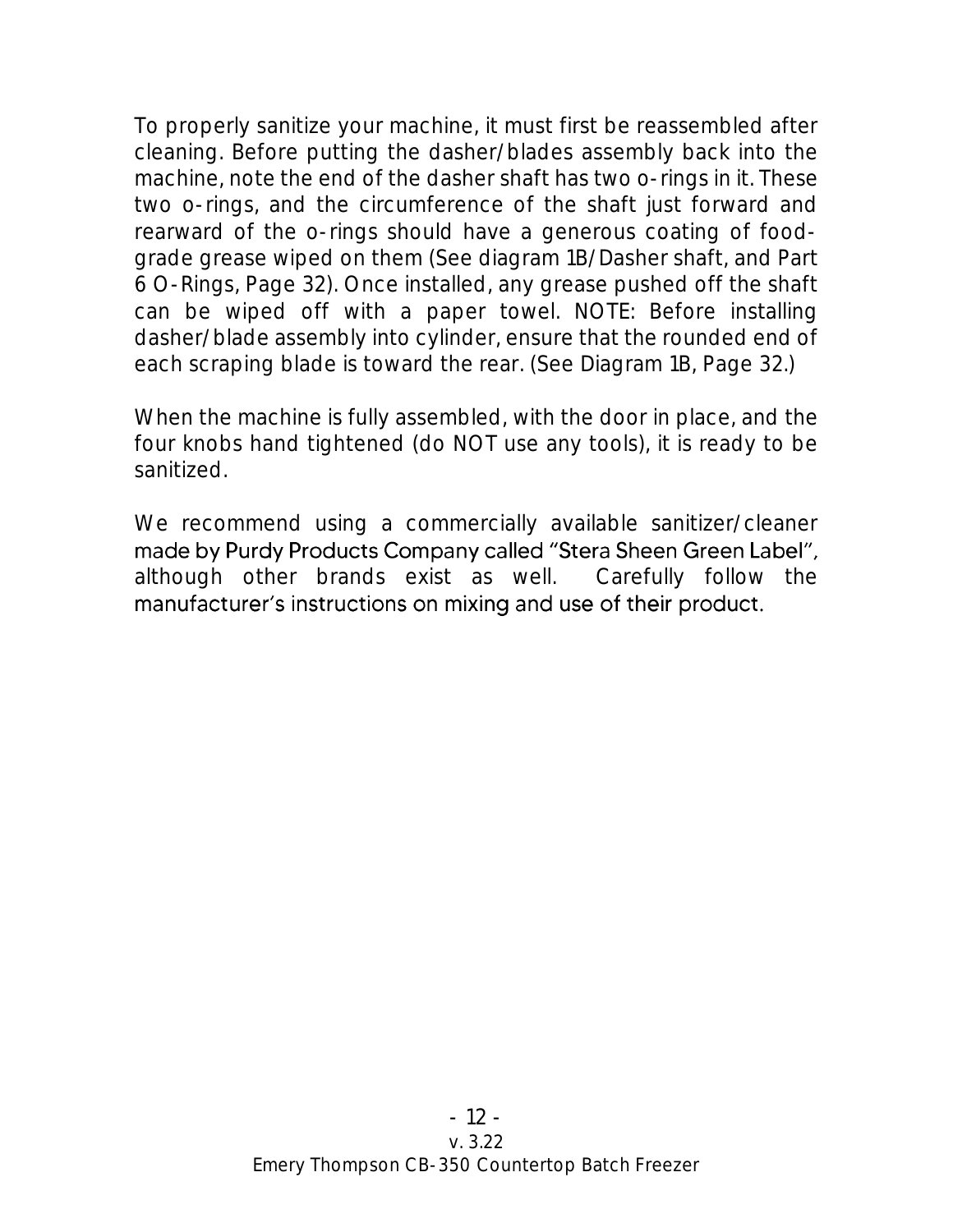To properly sanitize your machine, it must first be reassembled after cleaning. Before putting the dasher/blades assembly back into the machine, note the end of the dasher shaft has two o-rings in it. These two o-rings, and the circumference of the shaft just forward and rearward of the o-rings should have a generous coating of foodgrade grease wiped on them (See diagram 1B/Dasher shaft, and Part 6 O-Rings, Page 32). Once installed, any grease pushed off the shaft can be wiped off with a paper towel. NOTE: Before installing dasher/blade assembly into cylinder, ensure that the rounded end of each scraping blade is toward the rear. (See Diagram 1B, Page 32.)

When the machine is fully assembled, with the door in place, and the four knobs hand tightened (do NOT use any tools), it is ready to be sanitized.

We recommend using a commercially available sanitizer/cleaner made by Purdy Products Company called "Stera Sheen Green Label", although other brands exist as well. Carefully follow the manufacturer's instructions on mixing and use of their product.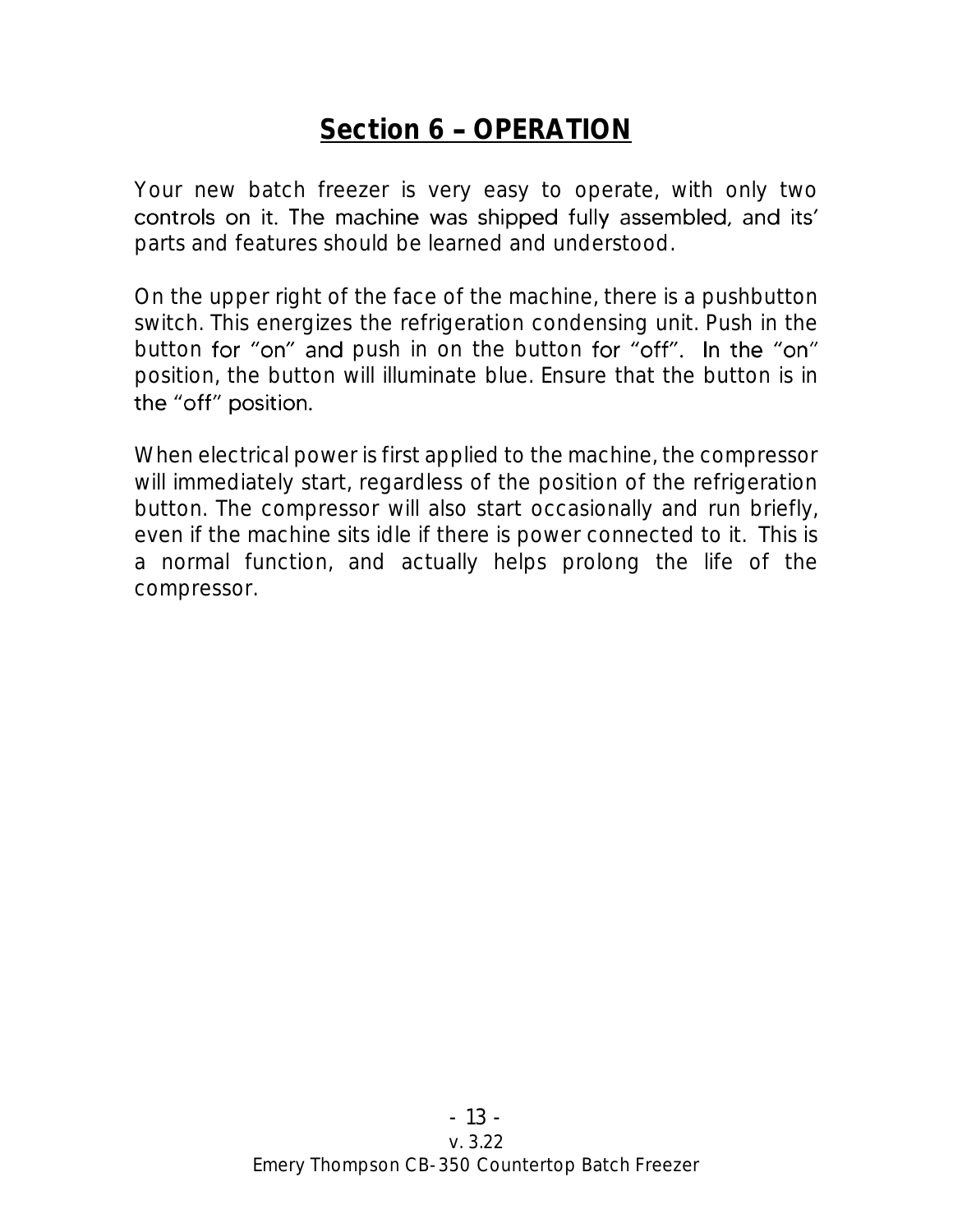## **Section 6 OPERATION**

Your new batch freezer is very easy to operate, with only two controls on it. The machine was shipped fully assembled, and its' parts and features should be learned and understood.

On the upper right of the face of the machine, there is a pushbutton switch. This energizes the refrigeration condensing unit. Push in the button for "on" and push in on the button for "off". In the "on" position, the button will illuminate blue. Ensure that the button is in the "off" position.

When electrical power is first applied to the machine, the compressor will immediately start, regardless of the position of the refrigeration button. The compressor will also start occasionally and run briefly, even if the machine sits idle if there is power connected to it. This is a normal function, and actually helps prolong the life of the compressor.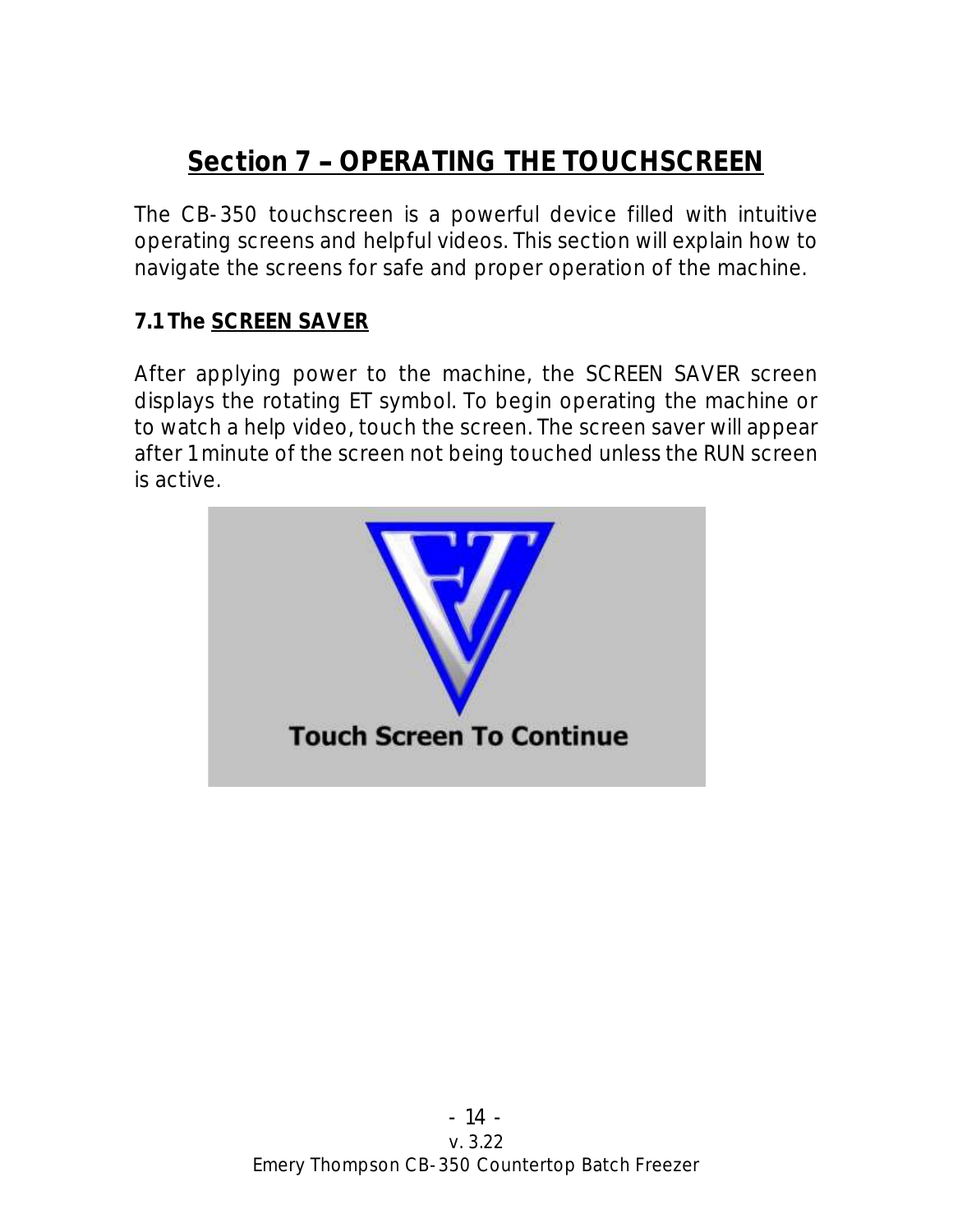### Section 7 - OPERATING THE TOUCHSCREEN

The CB-350 touchscreen is a powerful device filled with intuitive operating screens and helpful videos. This section will explain how to navigate the screens for safe and proper operation of the machine.

#### **7.1 The SCREEN SAVER**

After applying power to the machine, the SCREEN SAVER screen displays the rotating ET symbol. To begin operating the machine or to watch a help video, touch the screen. The screen saver will appear after 1 minute of the screen not being touched unless the RUN screen is active.

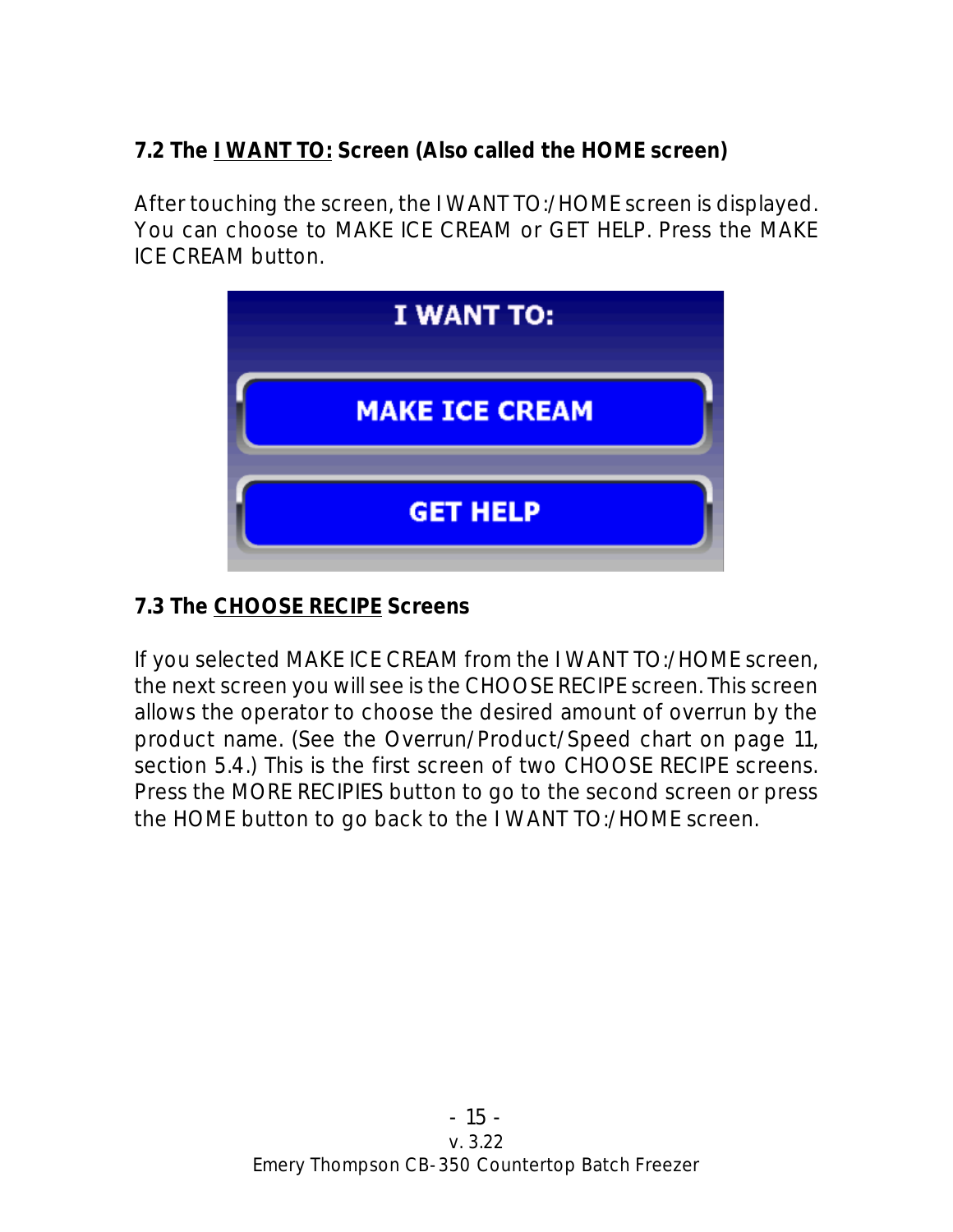**7.2 The I WANT TO: Screen (Also called the HOME screen)**

After touching the screen, the I WANT TO:/HOME screen is displayed. You can choose to MAKE ICE CREAM or GET HELP. Press the MAKE ICE CREAM button.



#### **7.3 The CHOOSE RECIPE Screens**

If you selected MAKE ICE CREAM from the I WANT TO:/HOME screen, the next screen you will see is the CHOOSE RECIPE screen. This screen allows the operator to choose the desired amount of overrun by the product name. (See the Overrun/Product/Speed chart on page 11, section 5.4.) This is the first screen of two CHOOSE RECIPE screens. Press the MORE RECIPIES button to go to the second screen or press the HOME button to go back to the I WANT TO:/HOME screen.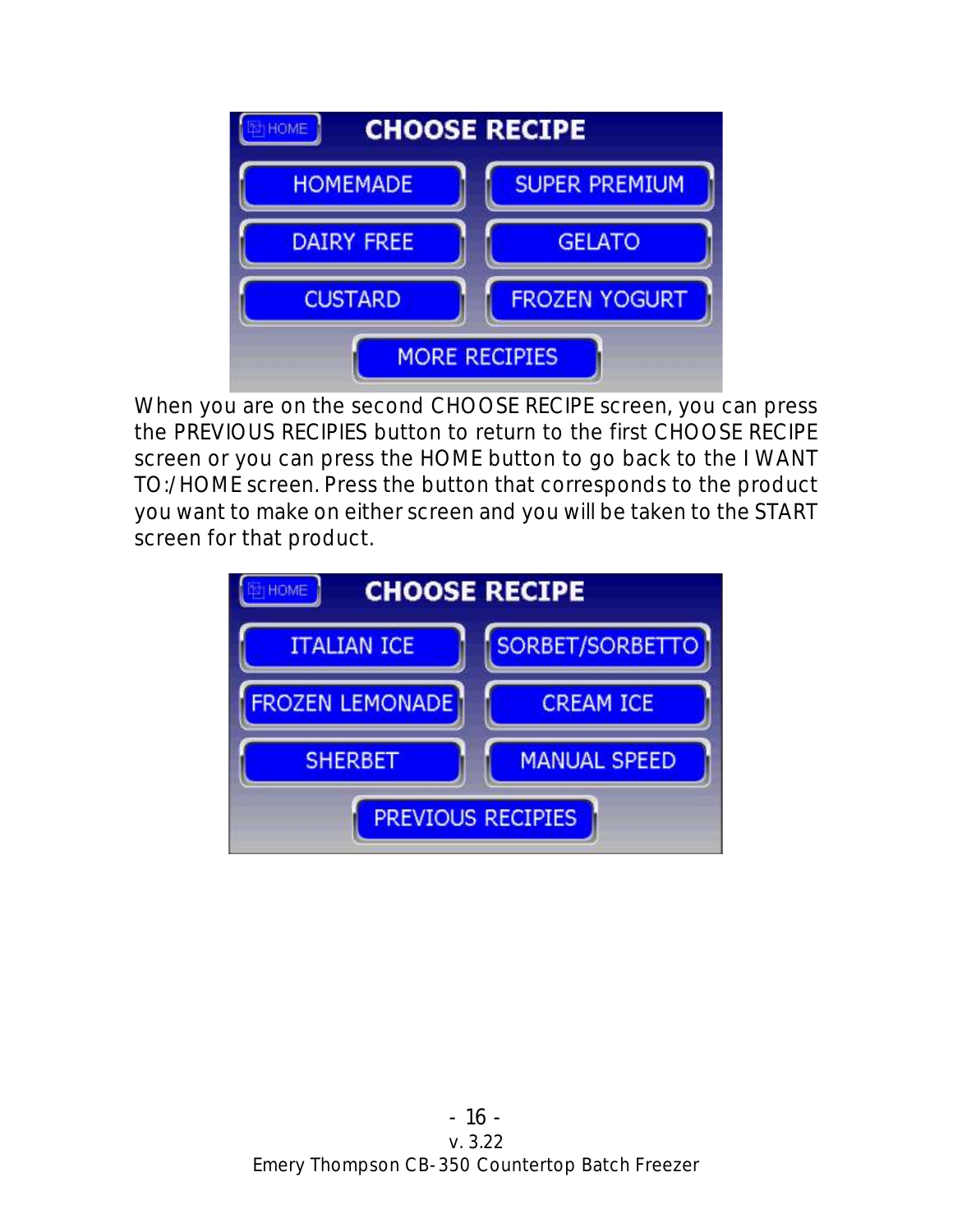

When you are on the second CHOOSE RECIPE screen, you can press the PREVIOUS RECIPIES button to return to the first CHOOSE RECIPE screen or you can press the HOME button to go back to the I WANT TO:/HOME screen. Press the button that corresponds to the product you want to make on either screen and you will be taken to the START screen for that product.

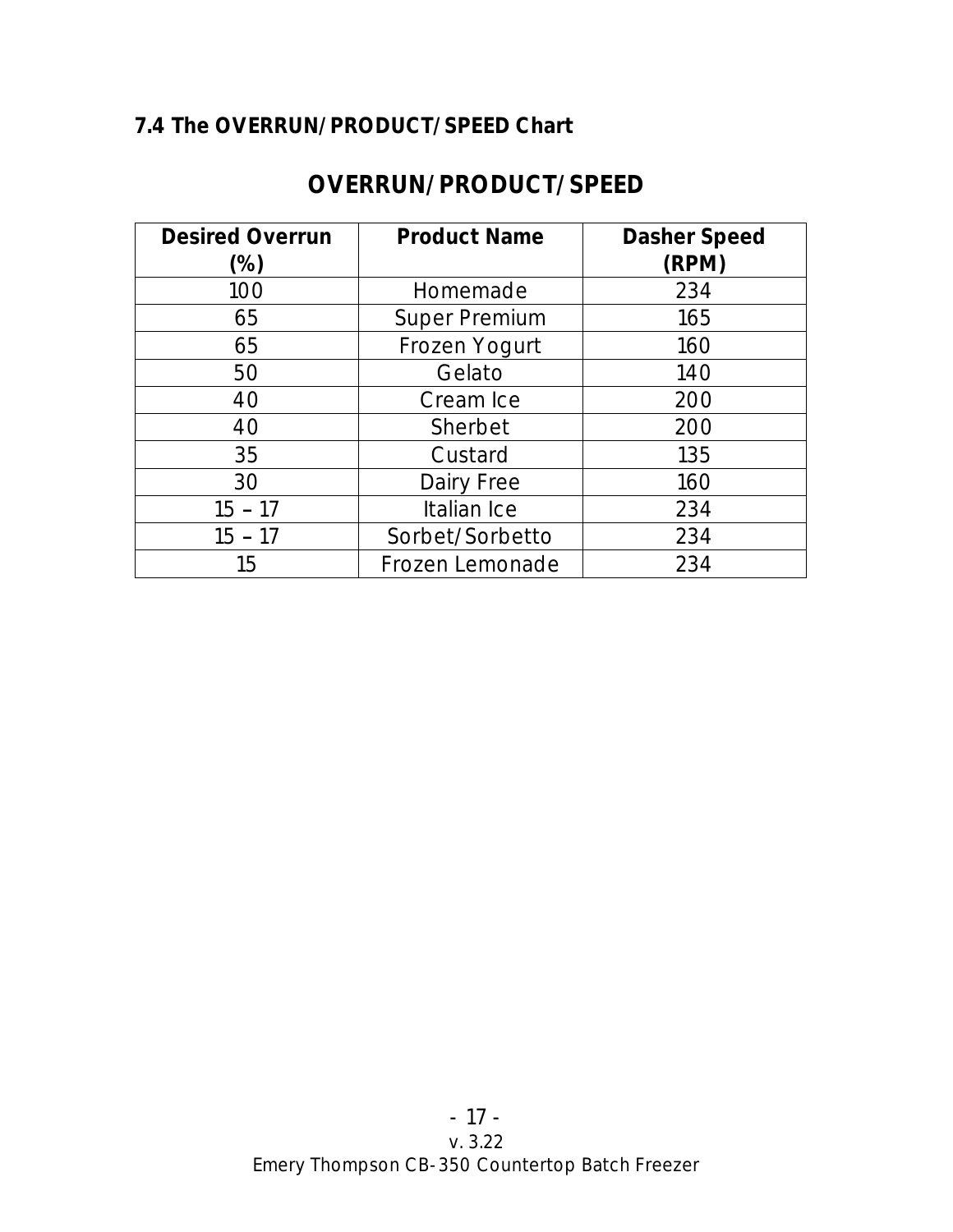#### **7.4 The OVERRUN/PRODUCT/SPEED Chart**

#### **OVERRUN/PRODUCT/SPEED**

| <b>Desired Overrun</b> | <b>Product Name</b>  | Dasher Speed |
|------------------------|----------------------|--------------|
| (%)                    |                      | (RPM)        |
| 100                    | Homemade             | 234          |
| 65                     | <b>Super Premium</b> | 165          |
| 65                     | Frozen Yogurt        | 160          |
| 50                     | Gelato               | 140          |
| 40                     | Cream Ice            | 200          |
| 40                     | Sherbet              | 200          |
| 35                     | Custard              | 135          |
| 30                     | Dairy Free           | 160          |
| $15 - 17$              | Italian Ice          | 234          |
| $15 - 17$              | Sorbet/Sorbetto      | 234          |
| 15                     | Frozen Lemonade      | 234          |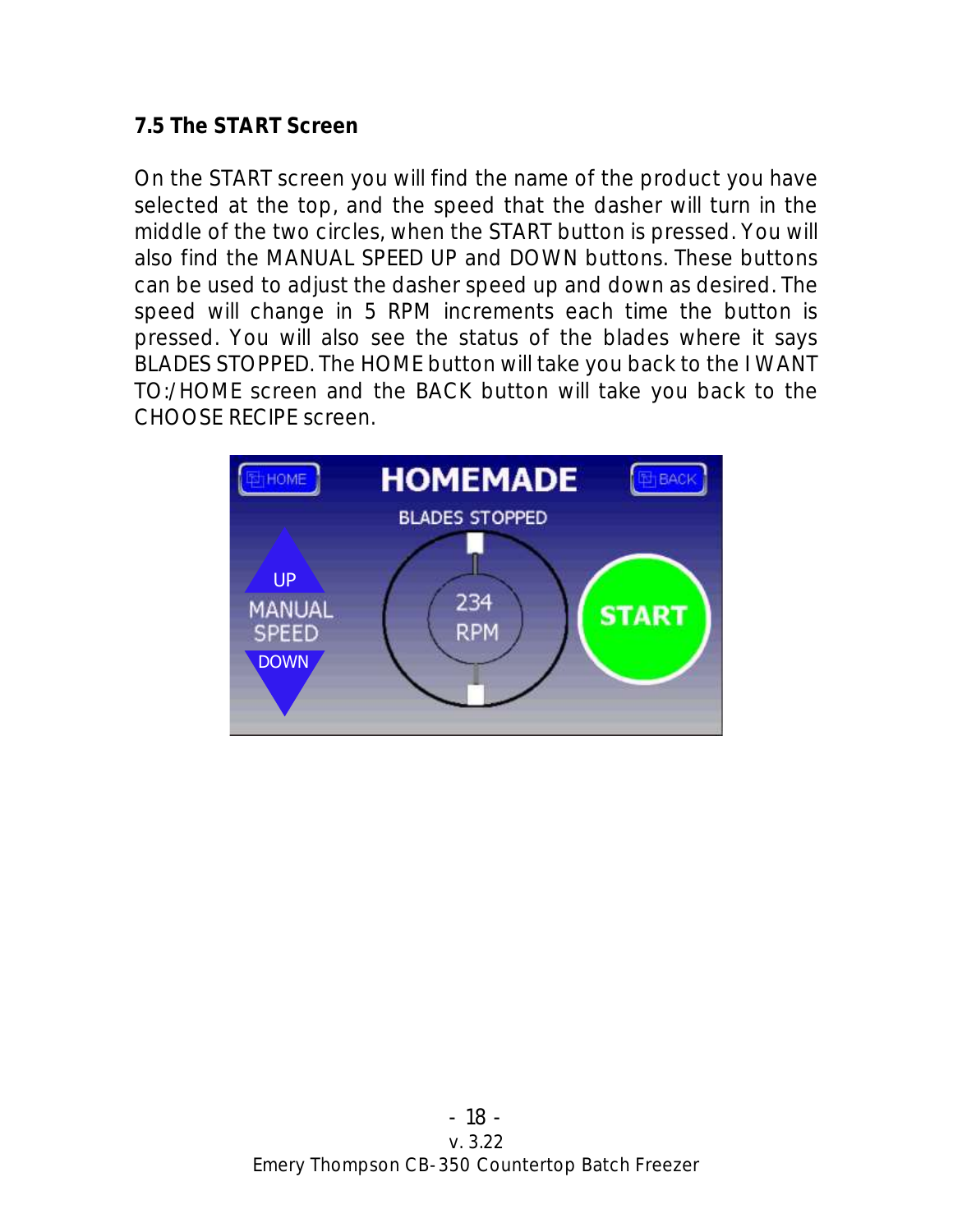#### **7.5 The START Screen**

On the START screen you will find the name of the product you have selected at the top, and the speed that the dasher will turn in the middle of the two circles, when the START button is pressed. You will also find the MANUAL SPEED UP and DOWN buttons. These buttons can be used to adjust the dasher speed up and down as desired. The speed will change in 5 RPM increments each time the button is pressed. You will also see the status of the blades where it says BLADES STOPPED. The HOME button will take you back to the I WANT TO:/HOME screen and the BACK button will take you back to the CHOOSE RECIPE screen.

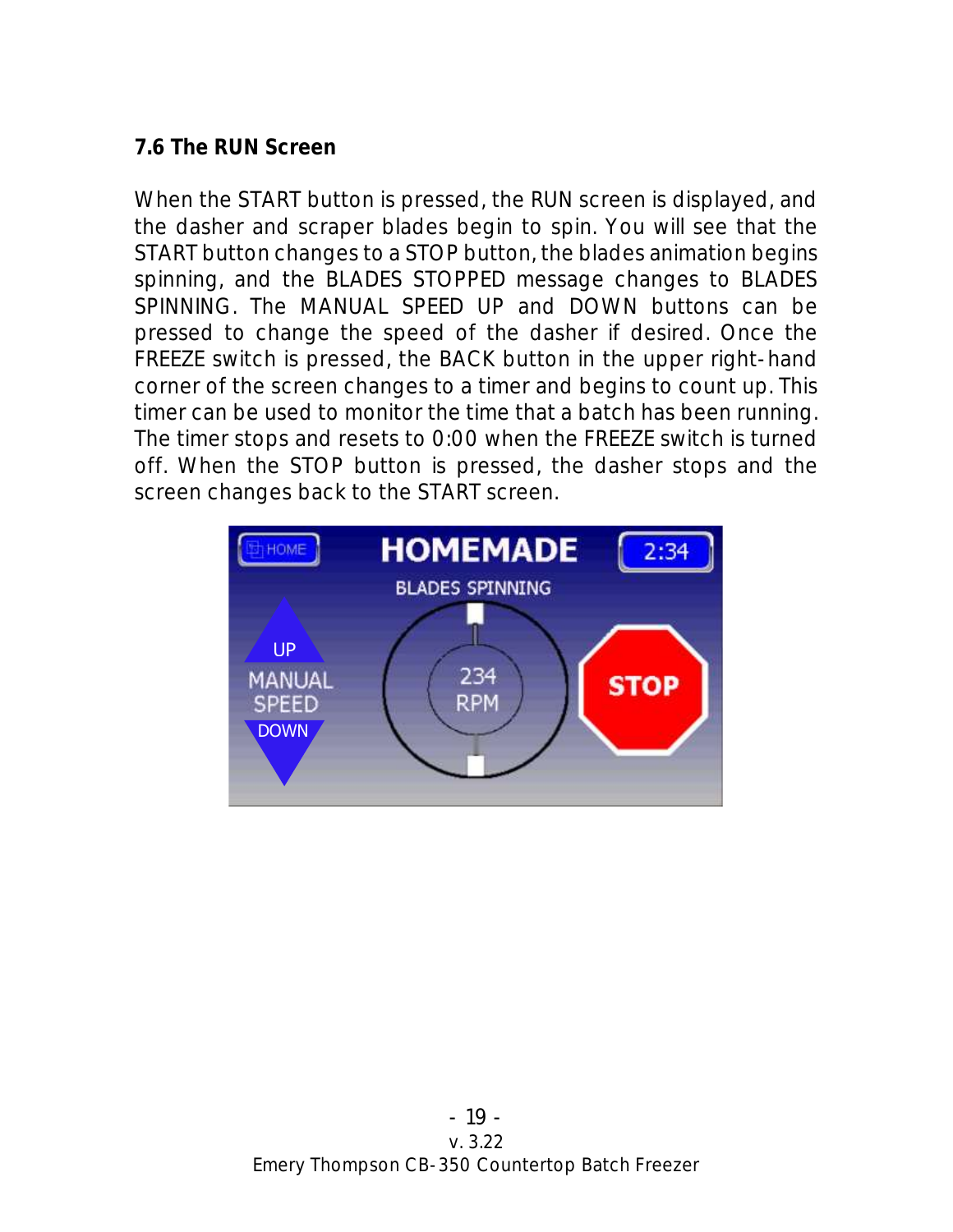#### **7.6 The RUN Screen**

When the START button is pressed, the RUN screen is displayed, and the dasher and scraper blades begin to spin. You will see that the START button changes to a STOP button, the blades animation begins spinning, and the BLADES STOPPED message changes to BLADES SPINNING. The MANUAL SPEED UP and DOWN buttons can be pressed to change the speed of the dasher if desired. Once the FREEZE switch is pressed, the BACK button in the upper right-hand corner of the screen changes to a timer and begins to count up. This timer can be used to monitor the time that a batch has been running. The timer stops and resets to 0:00 when the FREEZE switch is turned off. When the STOP button is pressed, the dasher stops and the screen changes back to the START screen.

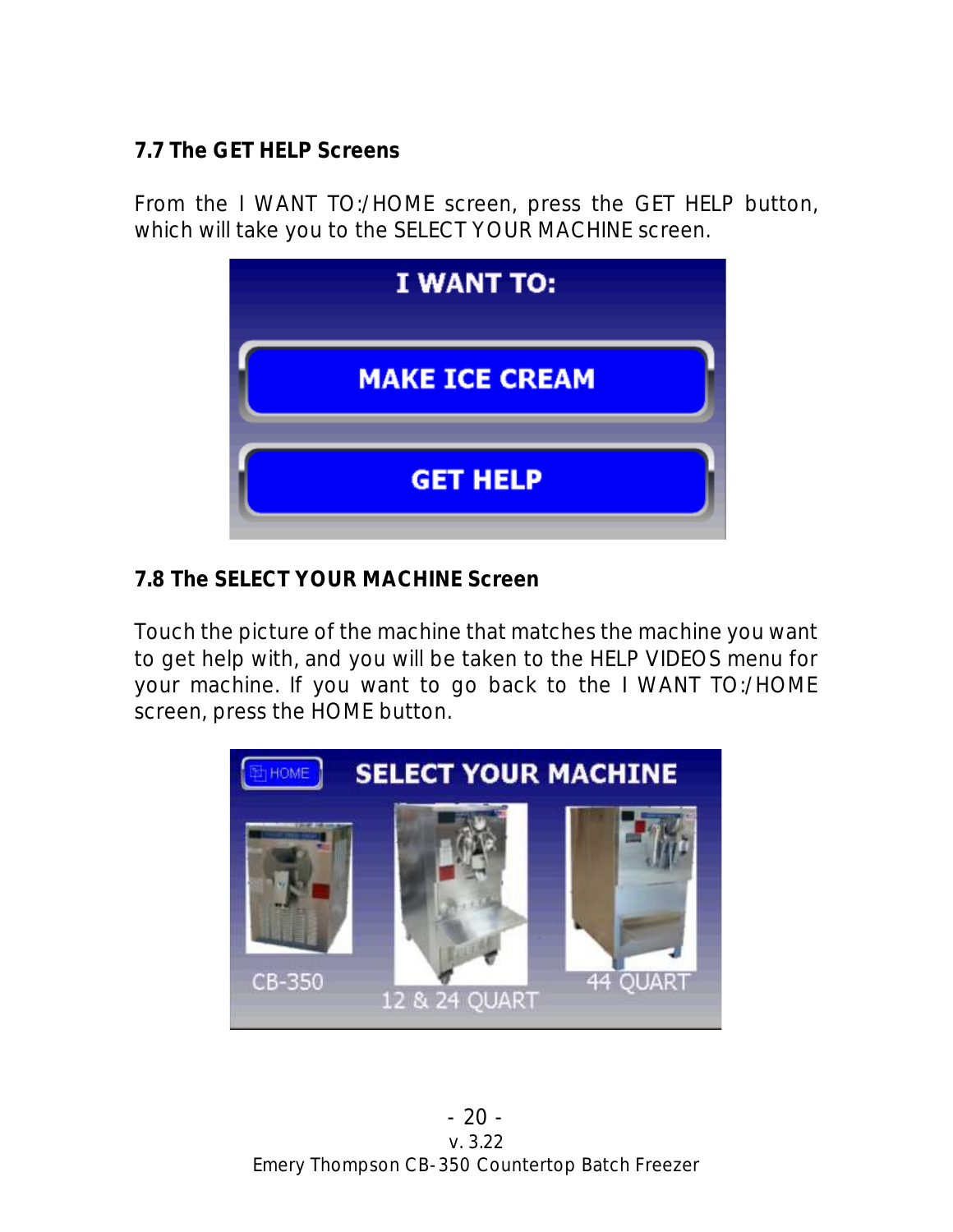#### **7.7 The GET HELP Screens**

From the I WANT TO:/HOME screen, press the GET HELP button, which will take you to the SELECT YOUR MACHINE screen.



**7.8 The SELECT YOUR MACHINE Screen**

Touch the picture of the machine that matches the machine you want to get help with, and you will be taken to the HELP VIDEOS menu for your machine. If you want to go back to the I WANT TO:/HOME screen, press the HOME button.

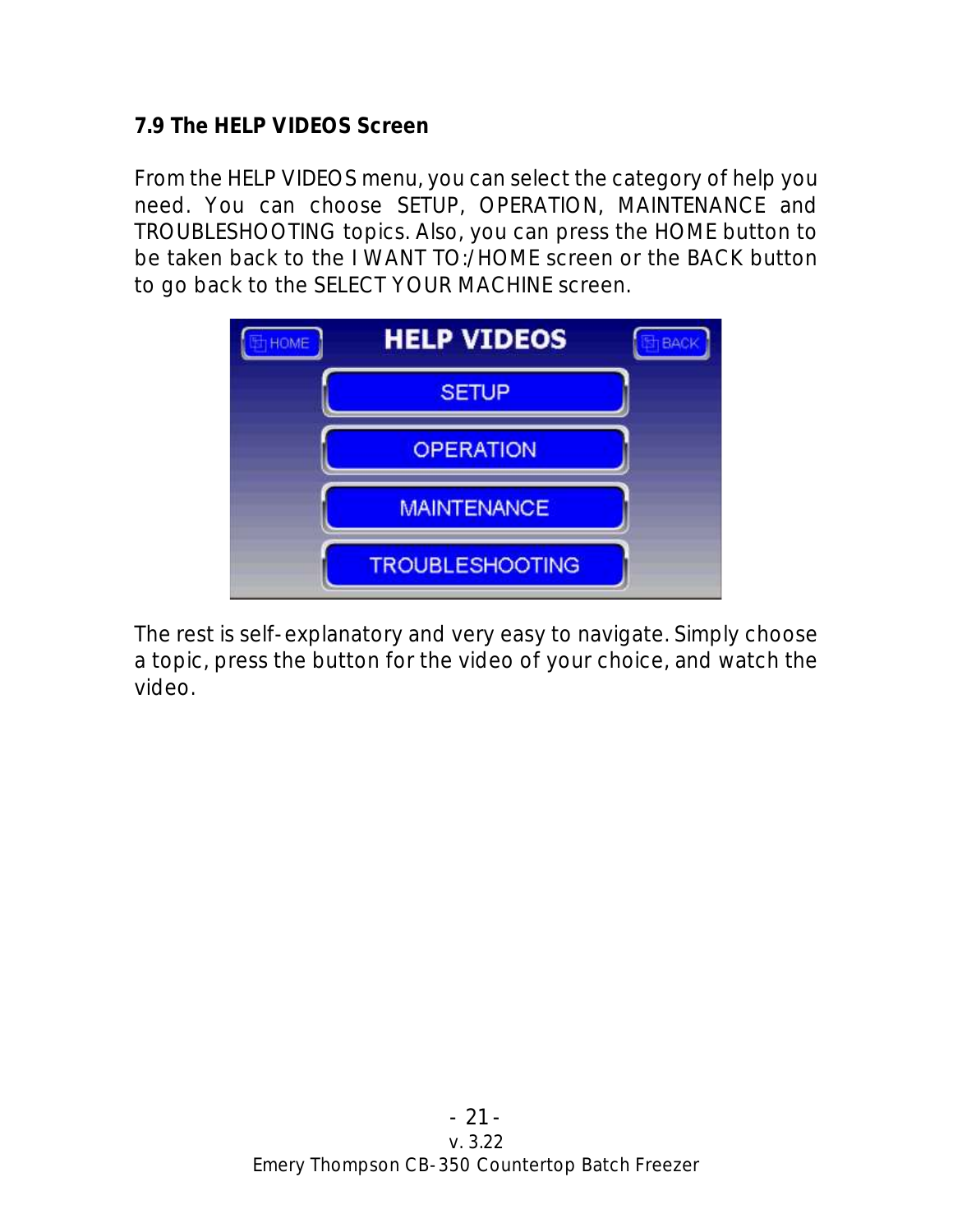**7.9 The HELP VIDEOS Screen**

From the HELP VIDEOS menu, you can select the category of help you need. You can choose SETUP, OPERATION, MAINTENANCE and TROUBLESHOOTING topics. Also, you can press the HOME button to be taken back to the I WANT TO:/HOME screen or the BACK button to go back to the SELECT YOUR MACHINE screen.



The rest is self-explanatory and very easy to navigate. Simply choose a topic, press the button for the video of your choice, and watch the video.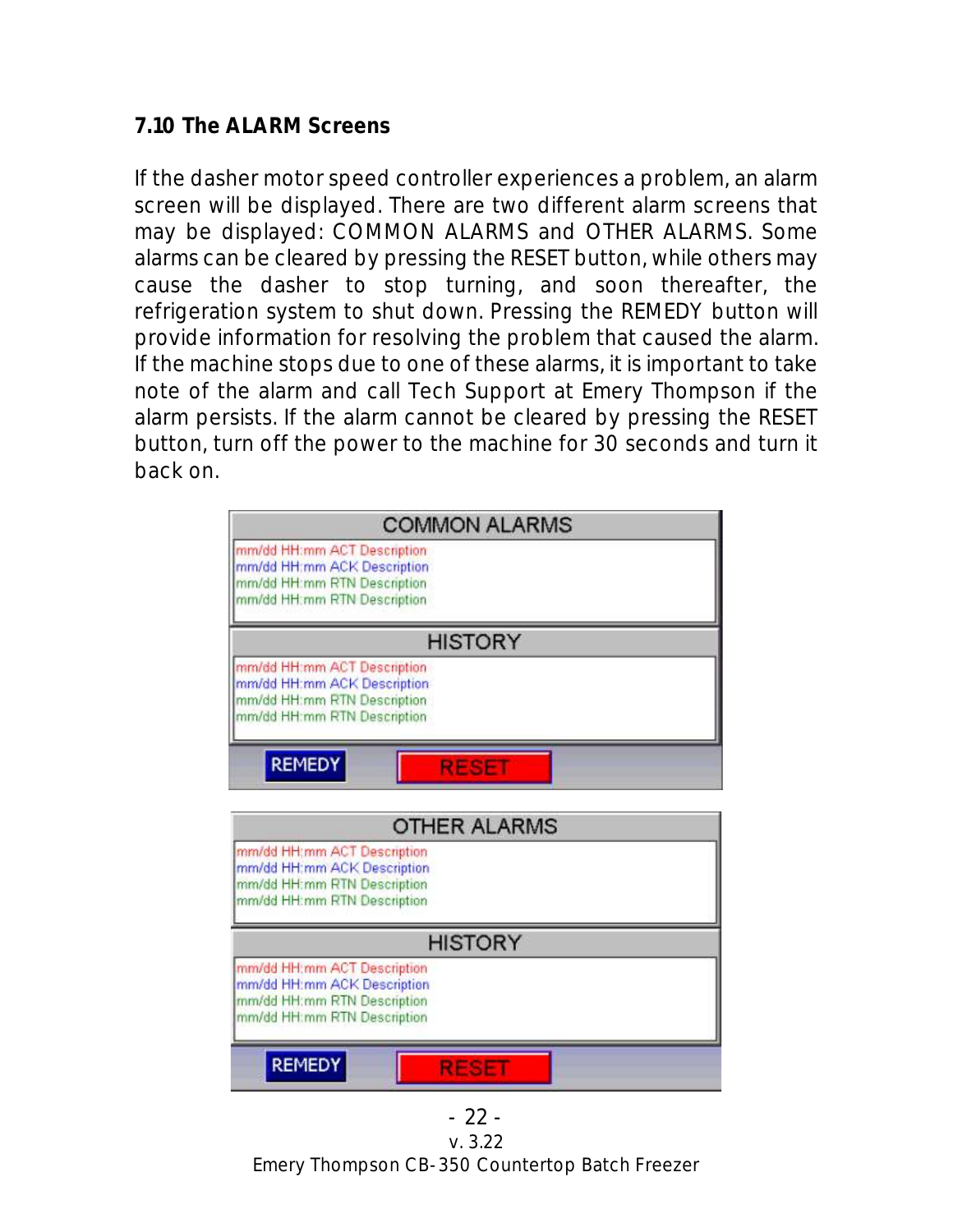#### **7.10 The ALARM Screens**

If the dasher motor speed controller experiences a problem, an alarm screen will be displayed. There are two different alarm screens that may be displayed: COMMON ALARMS and OTHER ALARMS. Some alarms can be cleared by pressing the RESET button, while others may cause the dasher to stop turning, and soon thereafter, the refrigeration system to shut down. Pressing the REMEDY button will provide information for resolving the problem that caused the alarm. If the machine stops due to one of these alarms, it is important to take note of the alarm and call Tech Support at Emery Thompson if the alarm persists. If the alarm cannot be cleared by pressing the RESET button, turn off the power to the machine for 30 seconds and turn it back on.



v. 3.22 Emery Thompson CB-350 Countertop Batch Freezer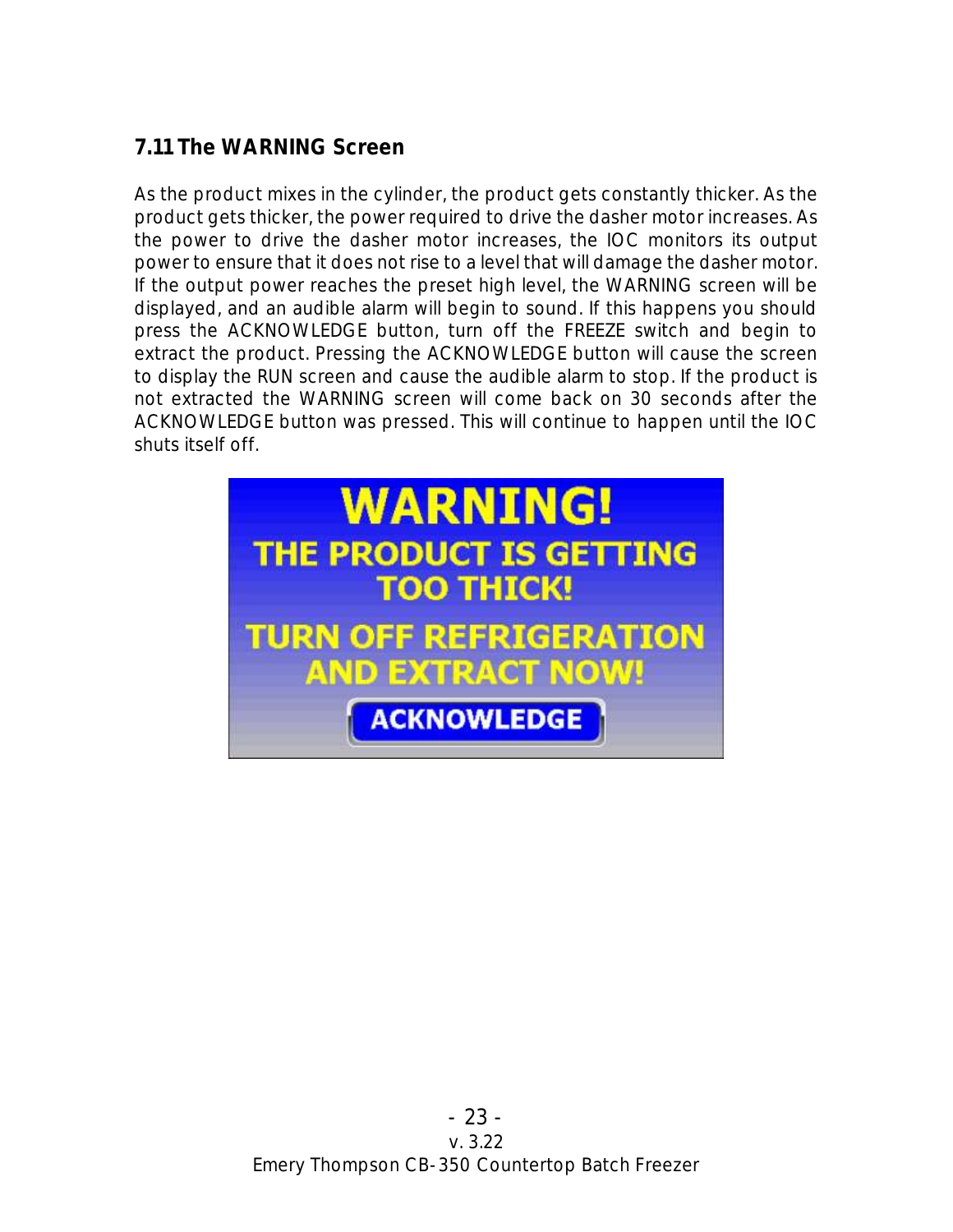#### **7.11 The WARNING Screen**

As the product mixes in the cylinder, the product gets constantly thicker. As the product gets thicker, the power required to drive the dasher motor increases. As the power to drive the dasher motor increases, the IOC monitors its output power to ensure that it does not rise to a level that will damage the dasher motor. If the output power reaches the preset high level, the WARNING screen will be displayed, and an audible alarm will begin to sound. If this happens you should press the ACKNOWLEDGE button, turn off the FREEZE switch and begin to extract the product. Pressing the ACKNOWLEDGE button will cause the screen to display the RUN screen and cause the audible alarm to stop. If the product is not extracted the WARNING screen will come back on 30 seconds after the ACKNOWLEDGE button was pressed. This will continue to happen until the IOC shuts itself off.

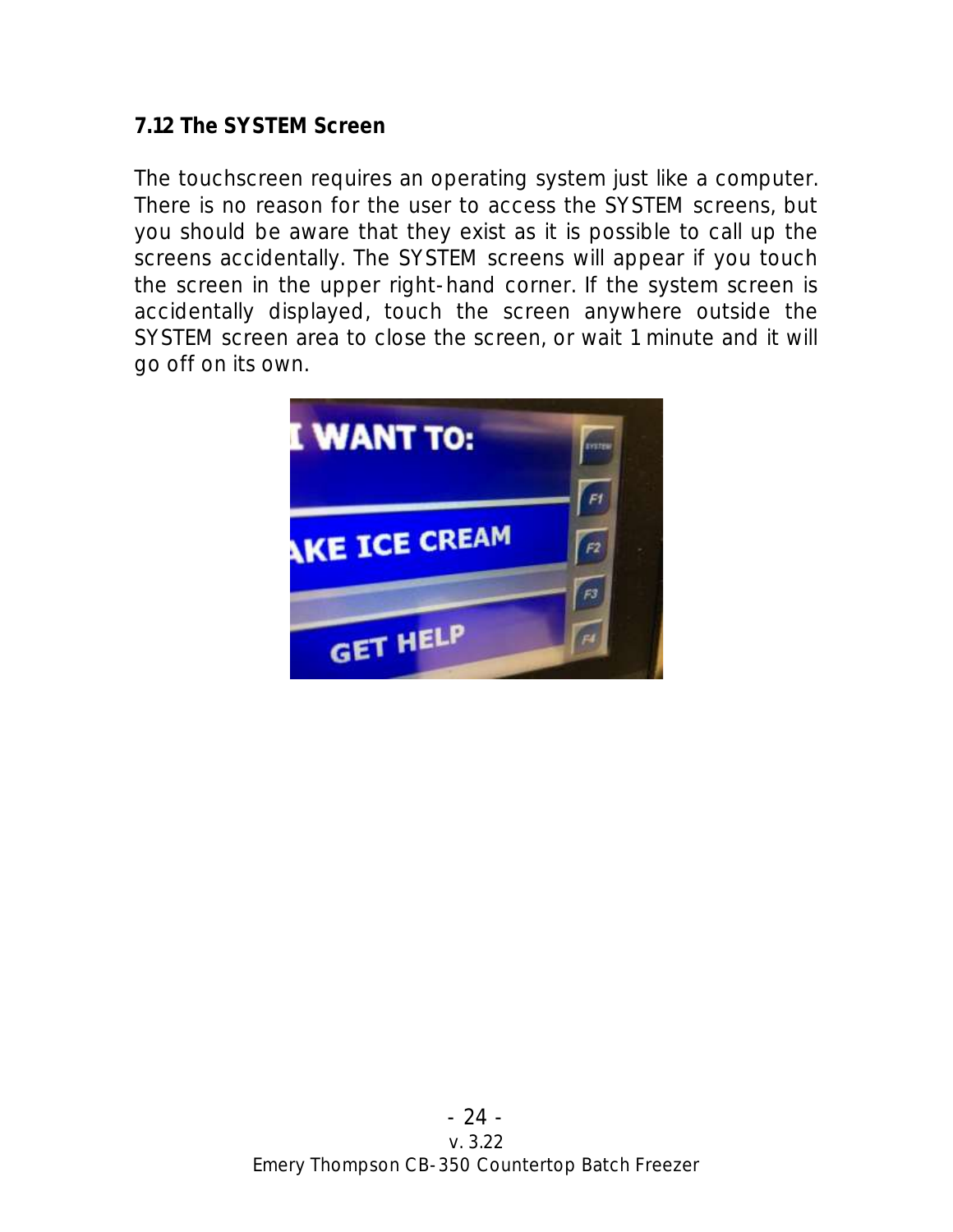#### **7.12 The SYSTEM Screen**

The touchscreen requires an operating system just like a computer. There is no reason for the user to access the SYSTEM screens, but you should be aware that they exist as it is possible to call up the screens accidentally. The SYSTEM screens will appear if you touch the screen in the upper right-hand corner. If the system screen is accidentally displayed, touch the screen anywhere outside the SYSTEM screen area to close the screen, or wait 1 minute and it will go off on its own.

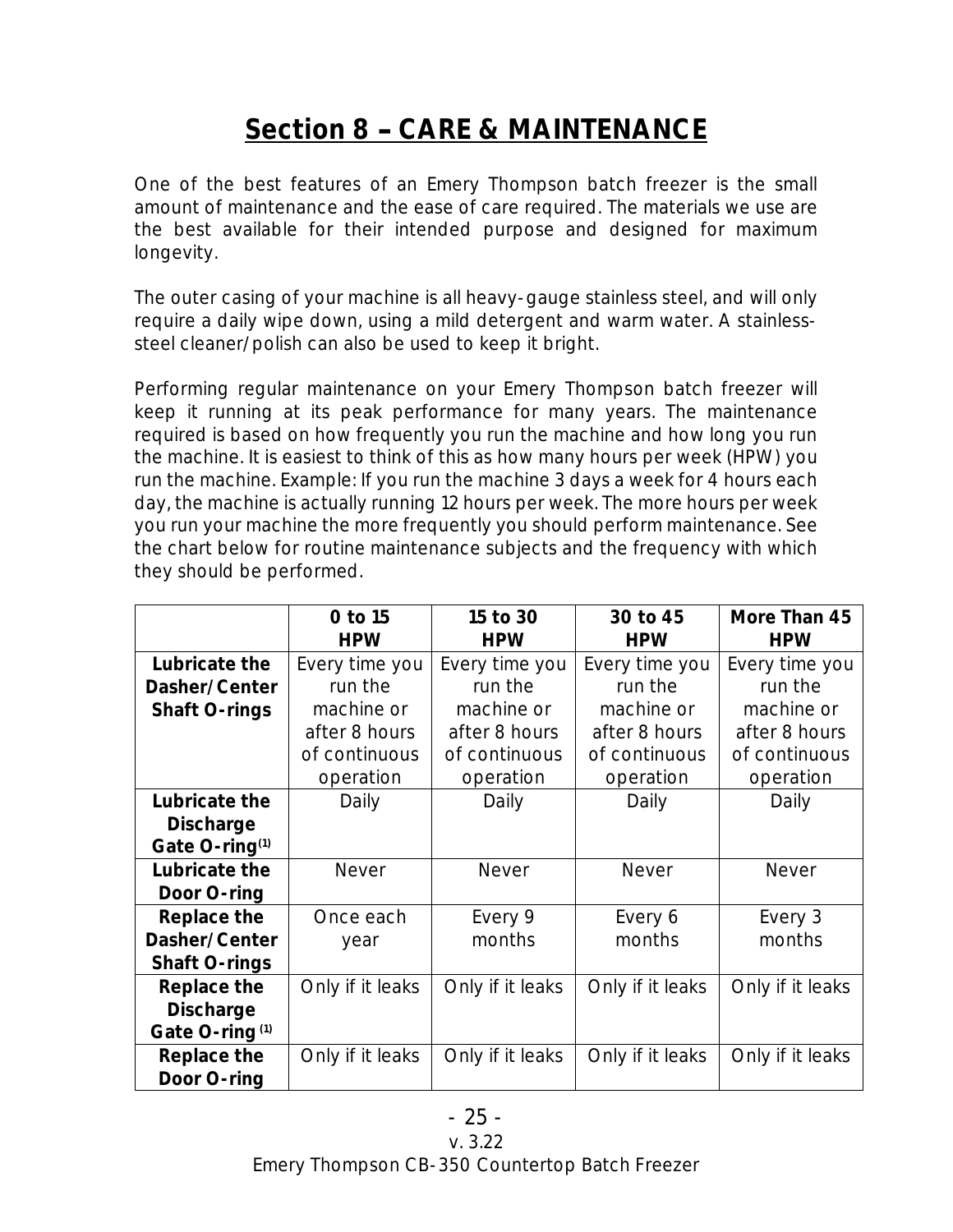## **Section 8 CARE & MAINTENANCE**

One of the best features of an Emery Thompson batch freezer is the small amount of maintenance and the ease of care required. The materials we use are the best available for their intended purpose and designed for maximum longevity.

The outer casing of your machine is all heavy-gauge stainless steel, and will only require a daily wipe down, using a mild detergent and warm water. A stainlesssteel cleaner/polish can also be used to keep it bright.

Performing regular maintenance on your Emery Thompson batch freezer will keep it running at its peak performance for many years. The maintenance required is based on how frequently you run the machine and how long you run the machine. It is easiest to think of this as how many hours per week (HPW) you run the machine. Example: If you run the machine 3 days a week for 4 hours each day, the machine is actually running 12 hours per week. The more hours per week you run your machine the more frequently you should perform maintenance. See the chart below for routine maintenance subjects and the frequency with which they should be performed.

|                            | O to 15          | 15 to 30         | 30 to 45         | More Than 45     |
|----------------------------|------------------|------------------|------------------|------------------|
|                            | <b>HPW</b>       | <b>HPW</b>       | <b>HPW</b>       | <b>HPW</b>       |
| Lubricate the              | Every time you   | Every time you   | Every time you   | Every time you   |
| Dasher/Center              | run the          | run the          | run the          | run the          |
| Shaft O-rings              | machine or       | machine or       | machine or       | machine or       |
|                            | after 8 hours    | after 8 hours    | after 8 hours    | after 8 hours    |
|                            | of continuous    | of continuous    | of continuous    | of continuous    |
|                            | operation        | operation        | operation        | operation        |
| Lubricate the              | Daily            | Daily            | Daily            | Daily            |
| Discharge                  |                  |                  |                  |                  |
| Gate O-ring <sup>(1)</sup> |                  |                  |                  |                  |
| Lubricate the              | <b>Never</b>     | Never            | <b>Never</b>     | <b>Never</b>     |
| Door O-ring                |                  |                  |                  |                  |
| Replace the                | Once each        | Every 9          | Every 6          | Every 3          |
| Dasher/Center              | year             | months           | months           | months           |
| Shaft O-rings              |                  |                  |                  |                  |
| Replace the                | Only if it leaks | Only if it leaks | Only if it leaks | Only if it leaks |
| Discharge                  |                  |                  |                  |                  |
| Gate O-ring <sup>(1)</sup> |                  |                  |                  |                  |
| Replace the                | Only if it leaks | Only if it leaks | Only if it leaks | Only if it leaks |
| Door O-ring                |                  |                  |                  |                  |

Emery Thompson CB-350 Countertop Batch Freezer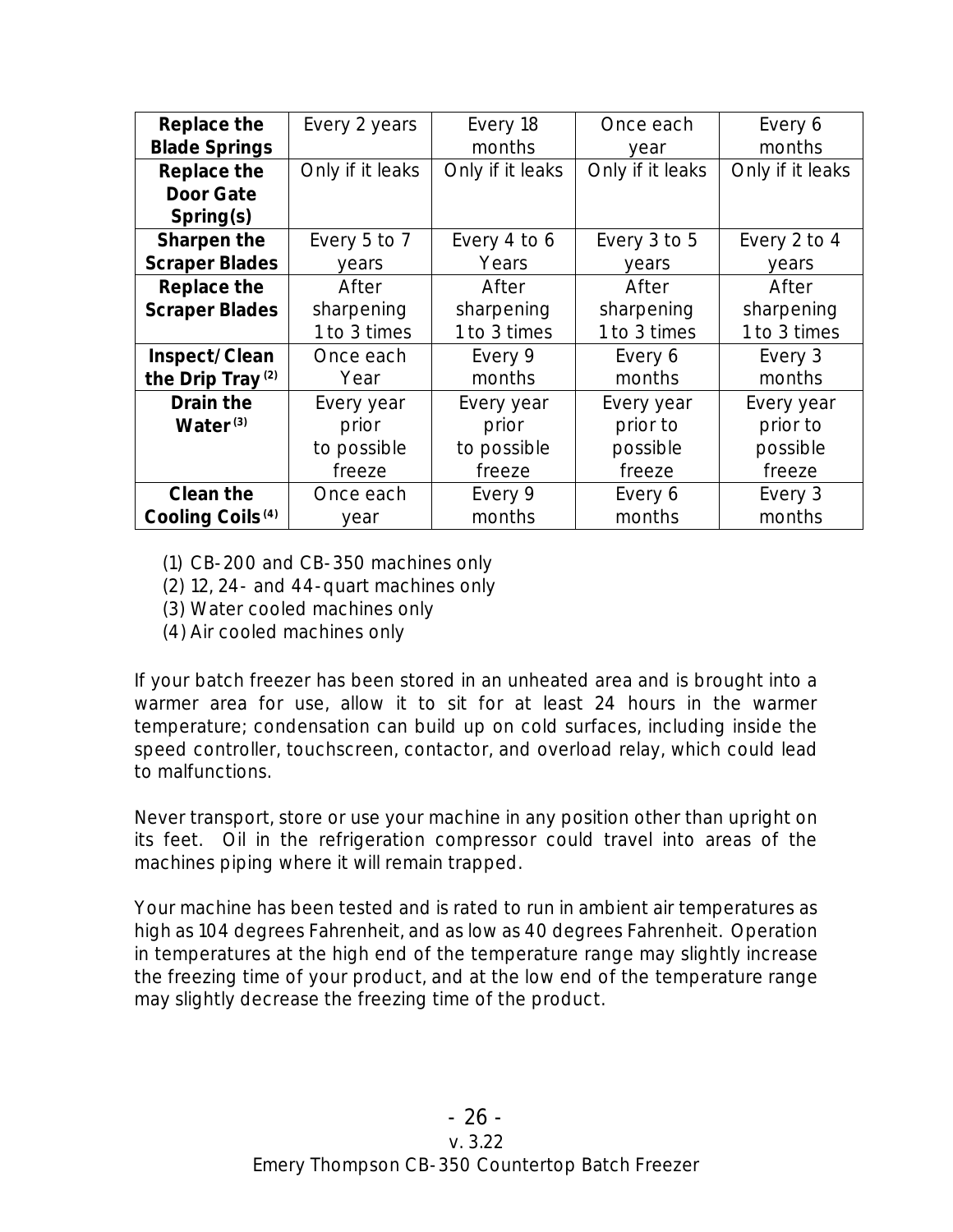| Replace the                  | Every 2 years    | Every 18         | Once each        | Every 6          |
|------------------------------|------------------|------------------|------------------|------------------|
| <b>Blade Springs</b>         |                  | months           | year             | months           |
| Replace the                  | Only if it leaks | Only if it leaks | Only if it leaks | Only if it leaks |
| Door Gate                    |                  |                  |                  |                  |
| Spring(s)                    |                  |                  |                  |                  |
| Sharpen the                  | Every 5 to 7     | Every 4 to 6     | Every 3 to 5     | Every 2 to 4     |
| <b>Scraper Blades</b>        | years            | Years            | years            | years            |
| Replace the                  | After            | After            | After            | After            |
| <b>Scraper Blades</b>        | sharpening       | sharpening       | sharpening       | sharpening       |
|                              | 1 to 3 times     | 1 to 3 times     | 1 to 3 times     | 1 to 3 times     |
| Inspect/Clean                | Once each        | Every 9          | Every 6          | Every 3          |
| the Drip Tray <sup>(2)</sup> | Year             | months           | months           | months           |
| Drain the                    | Every year       | Every year       | Every year       | Every year       |
| Water $(3)$                  | prior            | prior            | prior to         | prior to         |
|                              | to possible      | to possible      | possible         | possible         |
|                              | freeze           | freeze           | freeze           | freeze           |
| Clean the                    | Once each        | Every 9          | Every 6          | Every 3          |
| Cooling Coils <sup>(4)</sup> | year             | months           | months           | months           |

(1) CB-200 and CB-350 machines only

- (2) 12, 24- and 44-quart machines only
- (3) Water cooled machines only
- (4) Air cooled machines only

If your batch freezer has been stored in an unheated area and is brought into a warmer area for use, allow it to sit for at least 24 hours in the warmer temperature; condensation can build up on cold surfaces, including inside the speed controller, touchscreen, contactor, and overload relay, which could lead to malfunctions.

Never transport, store or use your machine in any position other than upright on its feet. Oil in the refrigeration compressor could travel into areas of the machines piping where it will remain trapped.

Your machine has been tested and is rated to run in ambient air temperatures as high as 104 degrees Fahrenheit, and as low as 40 degrees Fahrenheit. Operation in temperatures at the high end of the temperature range may slightly increase the freezing time of your product, and at the low end of the temperature range may slightly decrease the freezing time of the product.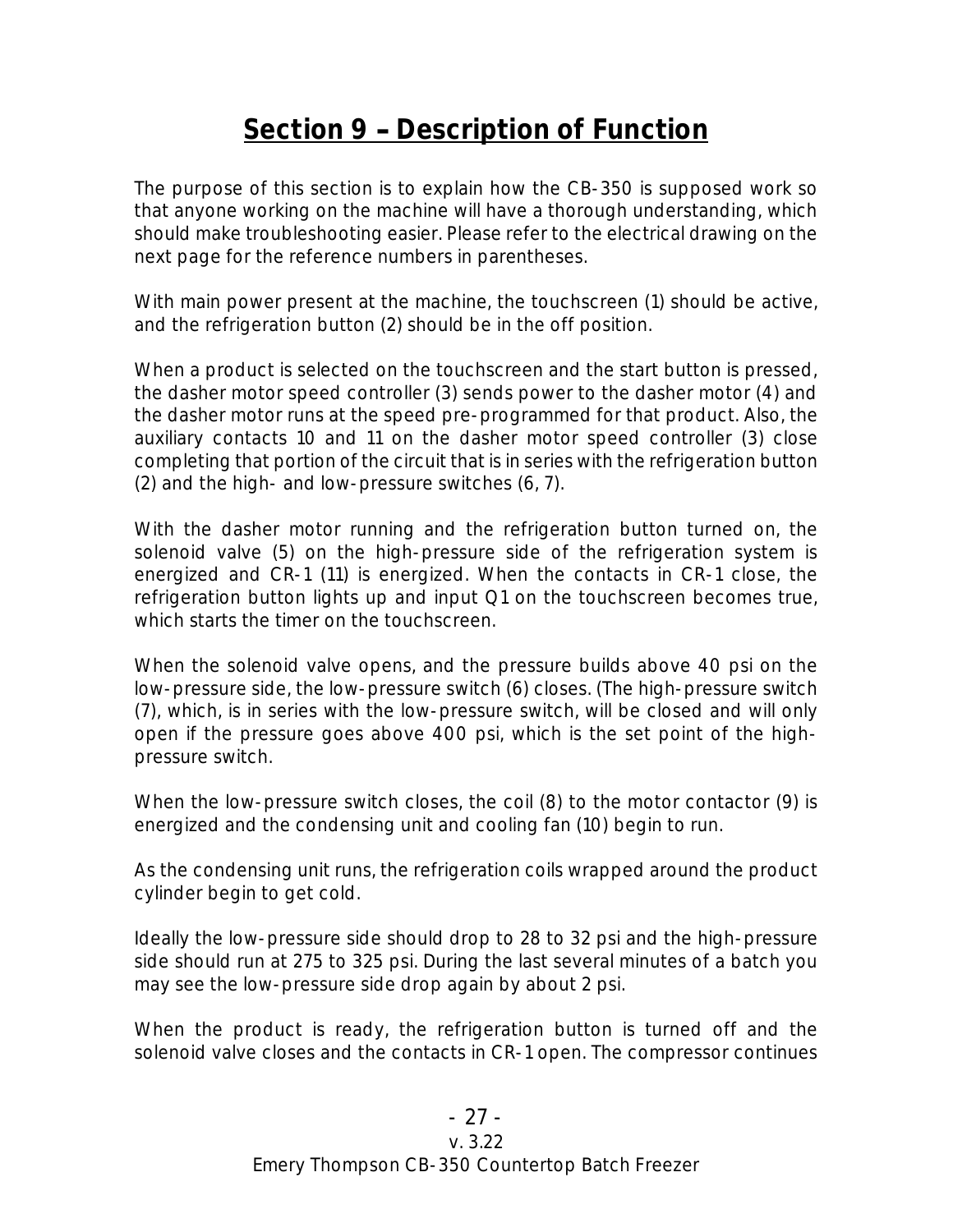## **Section 9 - Description of Function**

The purpose of this section is to explain how the CB-350 is supposed work so that anyone working on the machine will have a thorough understanding, which should make troubleshooting easier. Please refer to the electrical drawing on the next page for the reference numbers in parentheses.

With main power present at the machine, the touchscreen (1) should be active, and the refrigeration button (2) should be in the off position.

When a product is selected on the touchscreen and the start button is pressed, the dasher motor speed controller (3) sends power to the dasher motor (4) and the dasher motor runs at the speed pre-programmed for that product. Also, the auxiliary contacts 10 and 11 on the dasher motor speed controller (3) close completing that portion of the circuit that is in series with the refrigeration button (2) and the high- and low-pressure switches (6, 7).

With the dasher motor running and the refrigeration button turned on, the solenoid valve (5) on the high-pressure side of the refrigeration system is energized and CR-1 (11) is energized. When the contacts in CR-1 close, the refrigeration button lights up and input Q1 on the touchscreen becomes true, which starts the timer on the touchscreen.

When the solenoid valve opens, and the pressure builds above 40 psi on the low-pressure side, the low-pressure switch (6) closes. (The high-pressure switch (7), which, is in series with the low-pressure switch, will be closed and will only open if the pressure goes above 400 psi, which is the set point of the highpressure switch.

When the low-pressure switch closes, the coil (8) to the motor contactor (9) is energized and the condensing unit and cooling fan (10) begin to run.

As the condensing unit runs, the refrigeration coils wrapped around the product cylinder begin to get cold.

Ideally the low-pressure side should drop to 28 to 32 psi and the high-pressure side should run at 275 to 325 psi. During the last several minutes of a batch you may see the low-pressure side drop again by about 2 psi.

When the product is ready, the refrigeration button is turned off and the solenoid valve closes and the contacts in CR-1 open. The compressor continues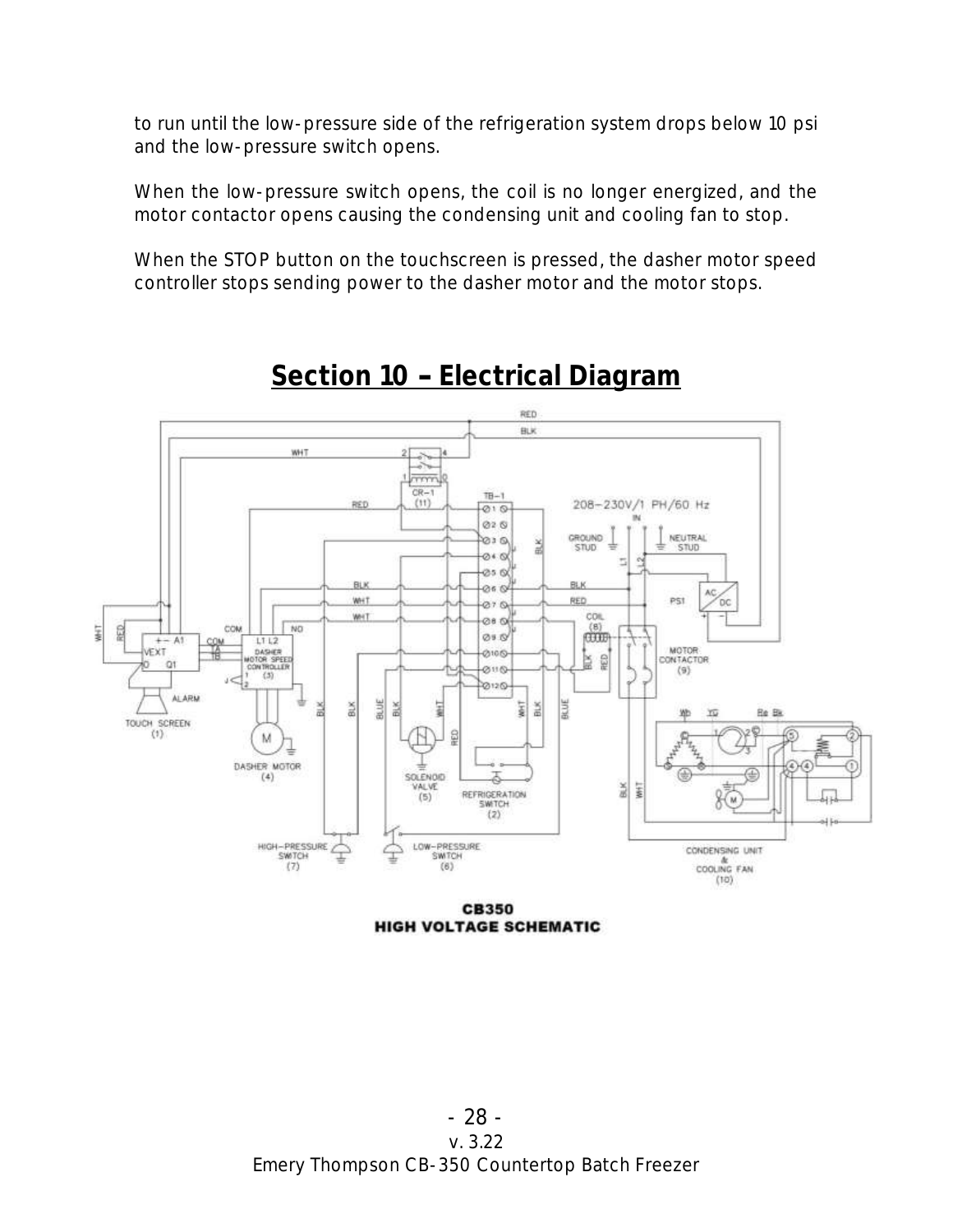to run until the low-pressure side of the refrigeration system drops below 10 psi and the low-pressure switch opens.

When the low-pressure switch opens, the coil is no longer energized, and the motor contactor opens causing the condensing unit and cooling fan to stop.

When the STOP button on the touchscreen is pressed, the dasher motor speed controller stops sending power to the dasher motor and the motor stops.



### **Section 10 - Electrical Diagram**

**CB350 HIGH VOLTAGE SCHEMATIC** 

- 28 v. 3.22 Emery Thompson CB-350 Countertop Batch Freezer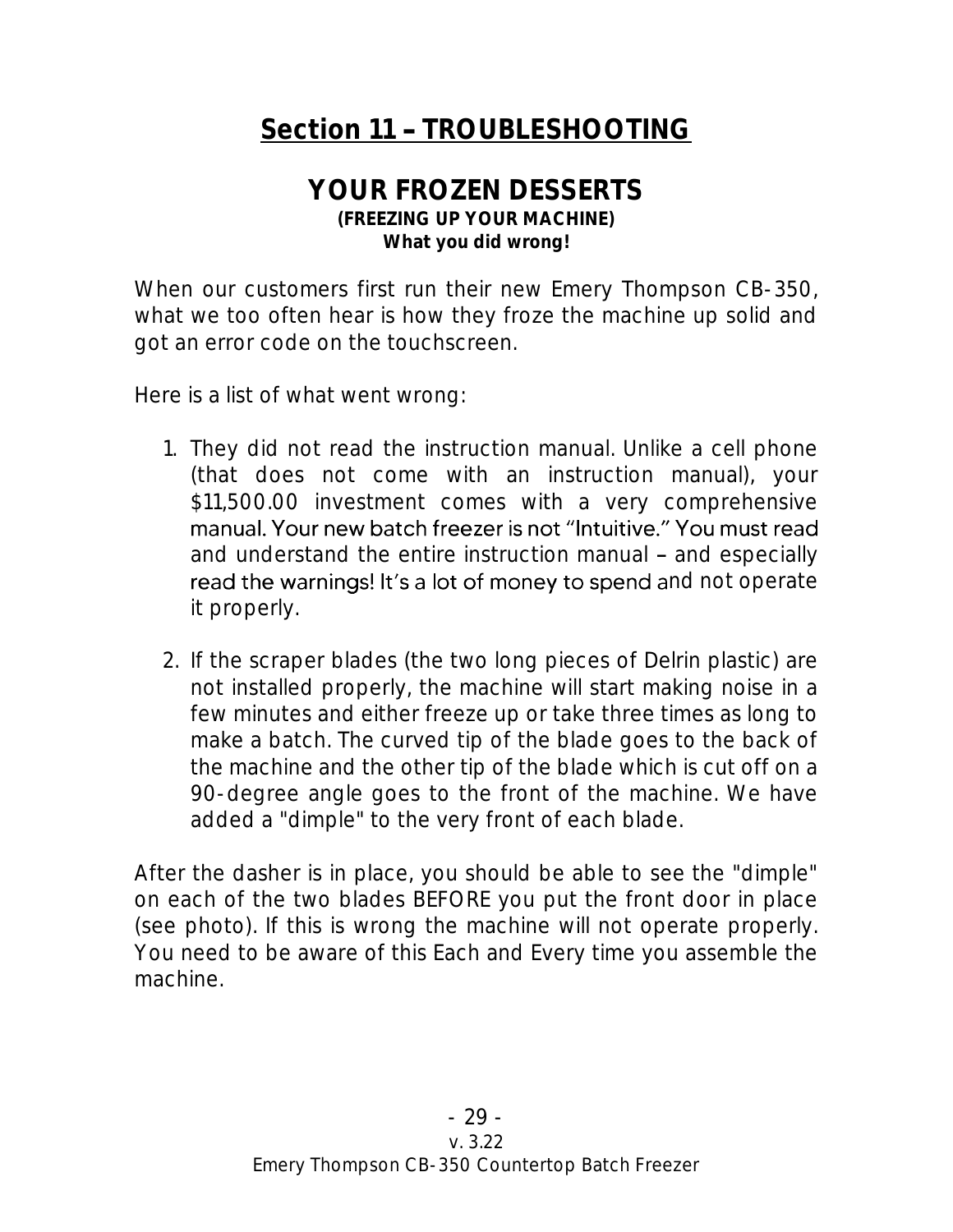## Section 11 - TROUBLESHOOTING

#### **YOUR FROZEN DESSERTS (FREEZING UP YOUR MACHINE) What you did wrong!**

When our customers first run their new Emery Thompson CB-350, what we too often hear is how they froze the machine up solid and got an error code on the touchscreen.

Here is a list of what went wrong:

- 1. They did not read the instruction manual. Unlike a cell phone (that does not come with an instruction manual), your \$11,500.00 investment comes with a very comprehensive manual. Your new batch freezer is not "Intuitive." You must read and understand the entire instruction manual - and especially read the warnings! It's a lot of money to spend and not operate it properly.
- 2. If the scraper blades (the two long pieces of Delrin plastic) are not installed properly, the machine will start making noise in a few minutes and either freeze up or take three times as long to make a batch. The curved tip of the blade goes to the back of the machine and the other tip of the blade which is cut off on a 90-degree angle goes to the front of the machine. We have added a "dimple" to the very front of each blade.

After the dasher is in place, you should be able to see the "dimple" on each of the two blades BEFORE you put the front door in place (see photo). If this is wrong the machine will not operate properly. You need to be aware of this Each and Every time you assemble the machine.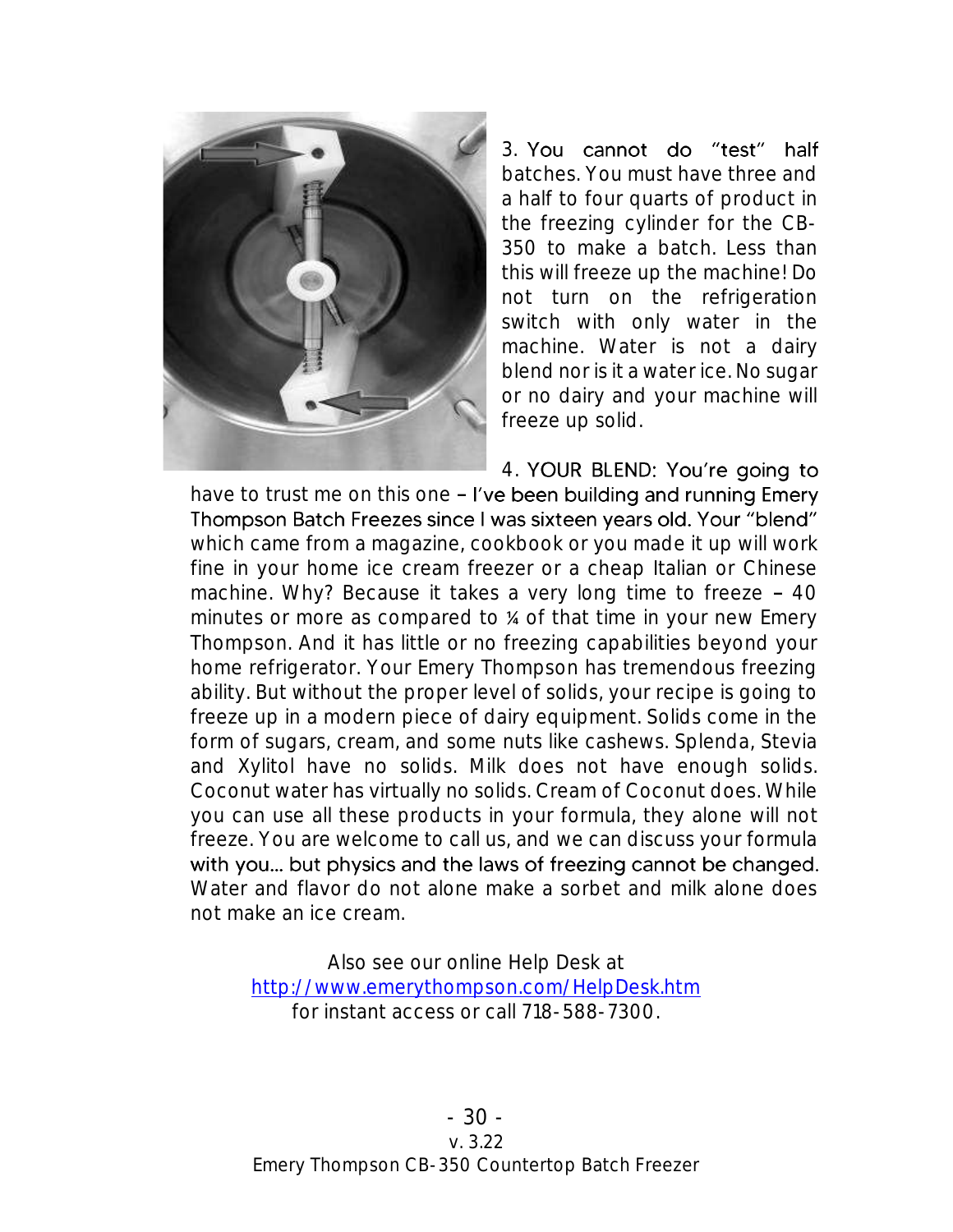

3. You cannot do "test" half batches. You must have three and a half to four quarts of product in the freezing cylinder for the CB-350 to make a batch. Less than this will freeze up the machine! Do not turn on the refrigeration switch with only water in the machine. Water is not a dairy blend nor is it a water ice. No sugar or no dairy and your machine will freeze up solid.

4. YOUR BLEND: You're going to have to trust me on this one - I've been building and running Emery Thompson Batch Freezes since I was sixteen years old. Your "blend" which came from a magazine, cookbook or you made it up will work fine in your home ice cream freezer or a cheap Italian or Chinese machine. Why? Because it takes a very long time to freeze - 40 minutes or more as compared to % of that time in your new Emery Thompson. And it has little or no freezing capabilities beyond your home refrigerator. Your Emery Thompson has tremendous freezing ability. But without the proper level of solids, your recipe is going to freeze up in a modern piece of dairy equipment. Solids come in the form of sugars, cream, and some nuts like cashews. Splenda, Stevia and Xylitol have no solids. Milk does not have enough solids. Coconut water has virtually no solids. Cream of Coconut does. While you can use all these products in your formula, they alone will not freeze. You are welcome to call us, and we can discuss your formula with you... but physics and the laws of freezing cannot be changed. Water and flavor do not alone make a sorbet and milk alone does not make an ice cream.

Also see our online Help Desk at <http://www.emerythompson.com/HelpDesk.htm> for instant access or call 718-588-7300.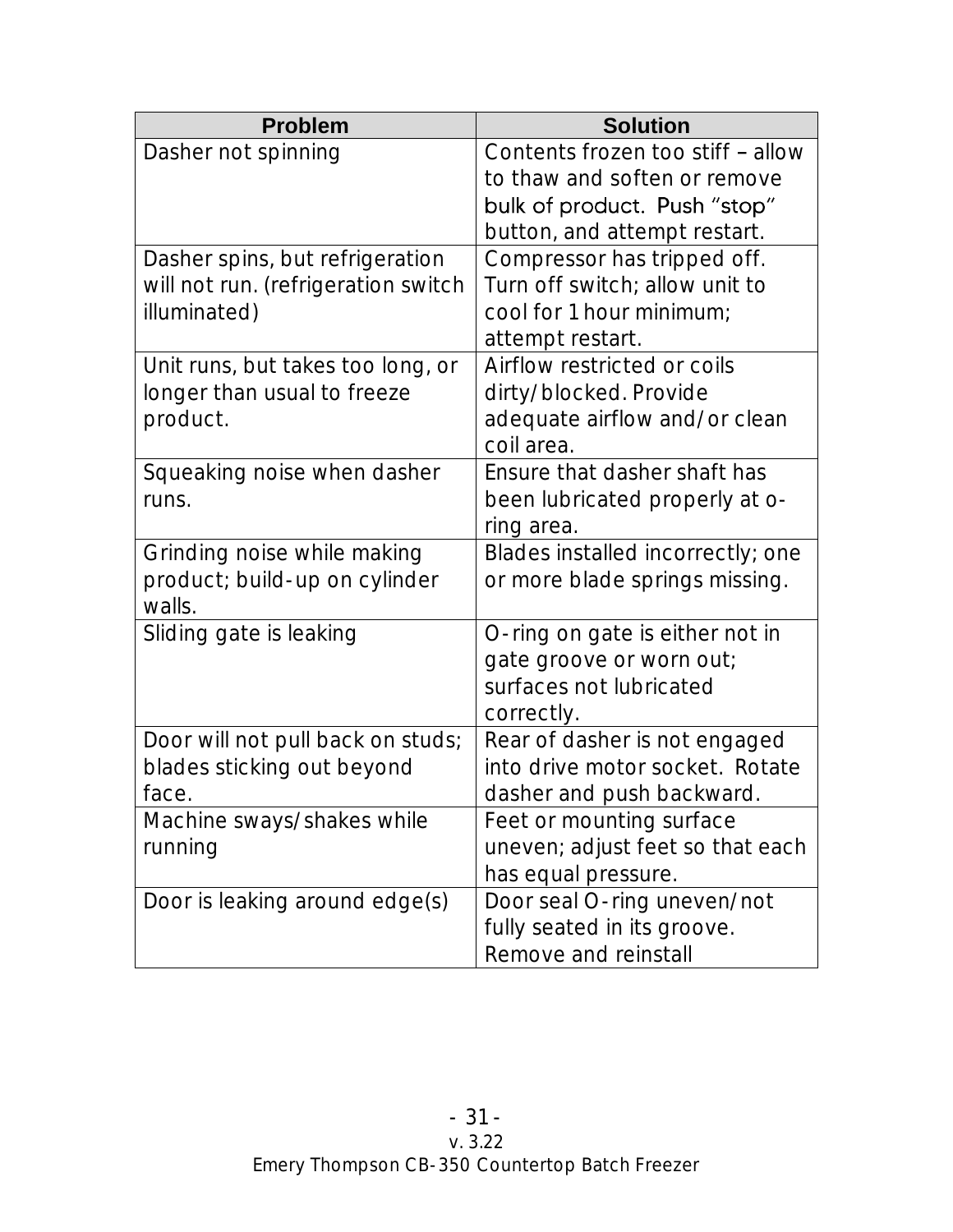| <b>Problem</b>                          | <b>Solution</b>                   |
|-----------------------------------------|-----------------------------------|
| Dasher not spinning                     | Contents frozen too stiff - allow |
|                                         | to thaw and soften or remove      |
|                                         | bulk of product. Push "stop"      |
|                                         | button, and attempt restart.      |
| Dasher spins, but refrigeration         | Compressor has tripped off.       |
| will not run. (refrigeration switch     | Turn off switch; allow unit to    |
| illuminated)                            | cool for 1 hour minimum;          |
|                                         | attempt restart.                  |
| Unit runs, but takes too long, or       | Airflow restricted or coils       |
| longer than usual to freeze             | dirty/blocked. Provide            |
| product.                                | adequate airflow and/or clean     |
|                                         | coil area.                        |
| Squeaking noise when dasher             | Ensure that dasher shaft has      |
| runs.                                   | been lubricated properly at o-    |
|                                         | ring area.                        |
| Grinding noise while making             | Blades installed incorrectly; one |
| product; build-up on cylinder<br>walls. | or more blade springs missing.    |
| Sliding gate is leaking                 | O-ring on gate is either not in   |
|                                         | gate groove or worn out;          |
|                                         | surfaces not lubricated           |
|                                         | correctly.                        |
| Door will not pull back on studs;       | Rear of dasher is not engaged     |
| blades sticking out beyond              | into drive motor socket. Rotate   |
| face.                                   | dasher and push backward.         |
| Machine sways/shakes while              | Feet or mounting surface          |
| running                                 | uneven; adjust feet so that each  |
|                                         | has equal pressure.               |
| Door is leaking around edge(s)          | Door seal O-ring uneven/not       |
|                                         | fully seated in its groove.       |
|                                         | Remove and reinstall              |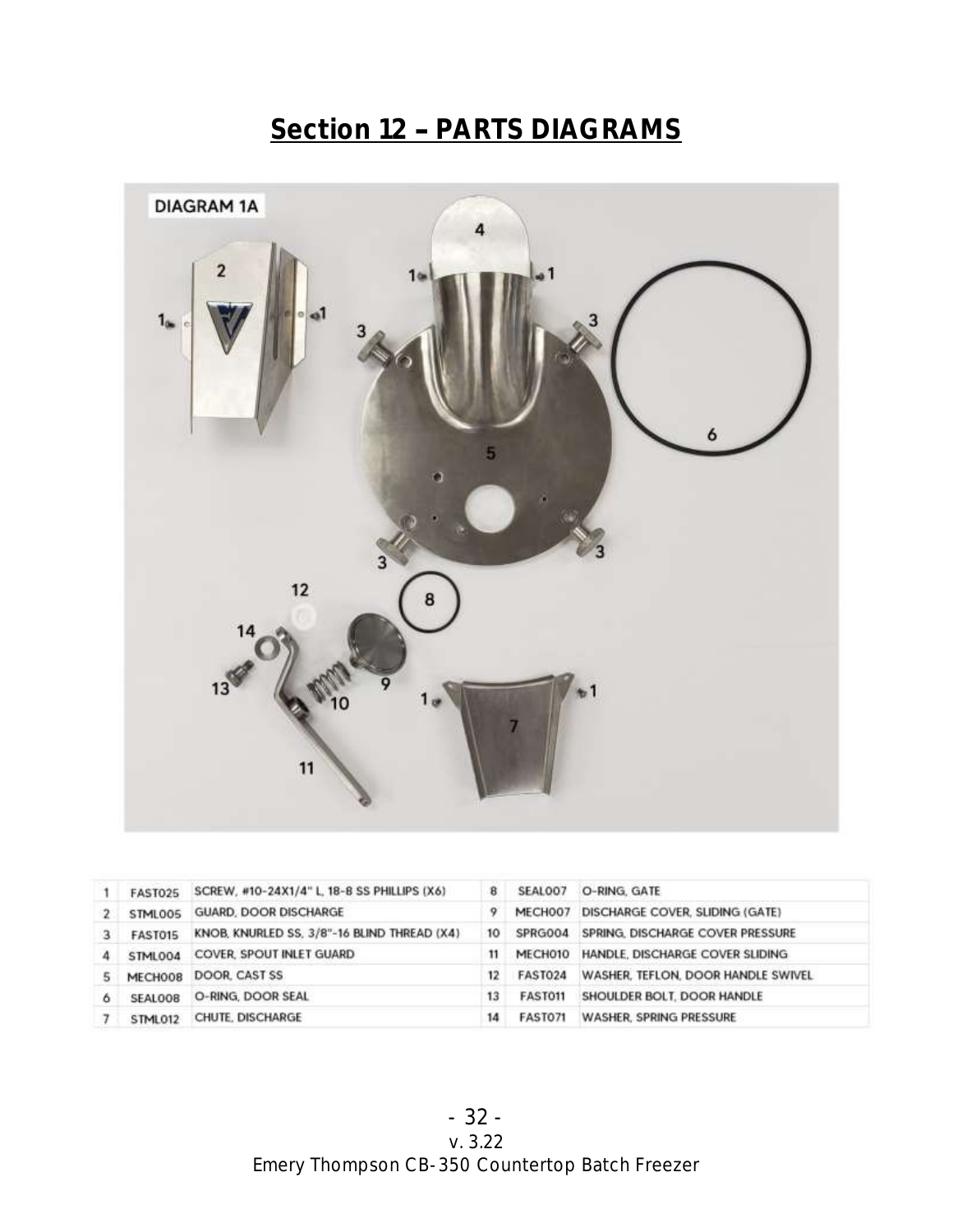## Section 12 - PARTS DIAGRAMS



|   | FAST025        | SCREW, #10-24X1/4" L, 18-8 SS PHILLIPS (X6) | 8  | SEAL007        | O-RING, GATE                       |
|---|----------------|---------------------------------------------|----|----------------|------------------------------------|
|   | STML005        | <b>GUARD, DOOR DISCHARGE</b>                |    | MECH007        | DISCHARGE COVER, SLIDING (GATE)    |
|   | FAST015        | KNOB, KNURLED SS, 3/8"-16 BLIND THREAD (X4) | 10 | SPRG004        | SPRING, DISCHARGE COVER PRESSURE   |
|   | <b>STML004</b> | COVER, SPOUT INLET GUARD                    | 11 | MECH010        | HANDLE, DISCHARGE COVER SLIDING    |
| 5 | MECH008        | DOOR, CAST SS                               | 12 | FAST024        | WASHER, TEFLON, DOOR HANDLE SWIVEL |
| 6 | SEAL008        | O-RING, DOOR SEAL                           | 13 | FAST011        | SHOULDER BOLT, DOOR HANDLE         |
|   | STML012        | CHUTE, DISCHARGE                            | 14 | <b>FASTO71</b> | <b>WASHER, SPRING PRESSURE</b>     |

- 32 v. 3.22 Emery Thompson CB-350 Countertop Batch Freezer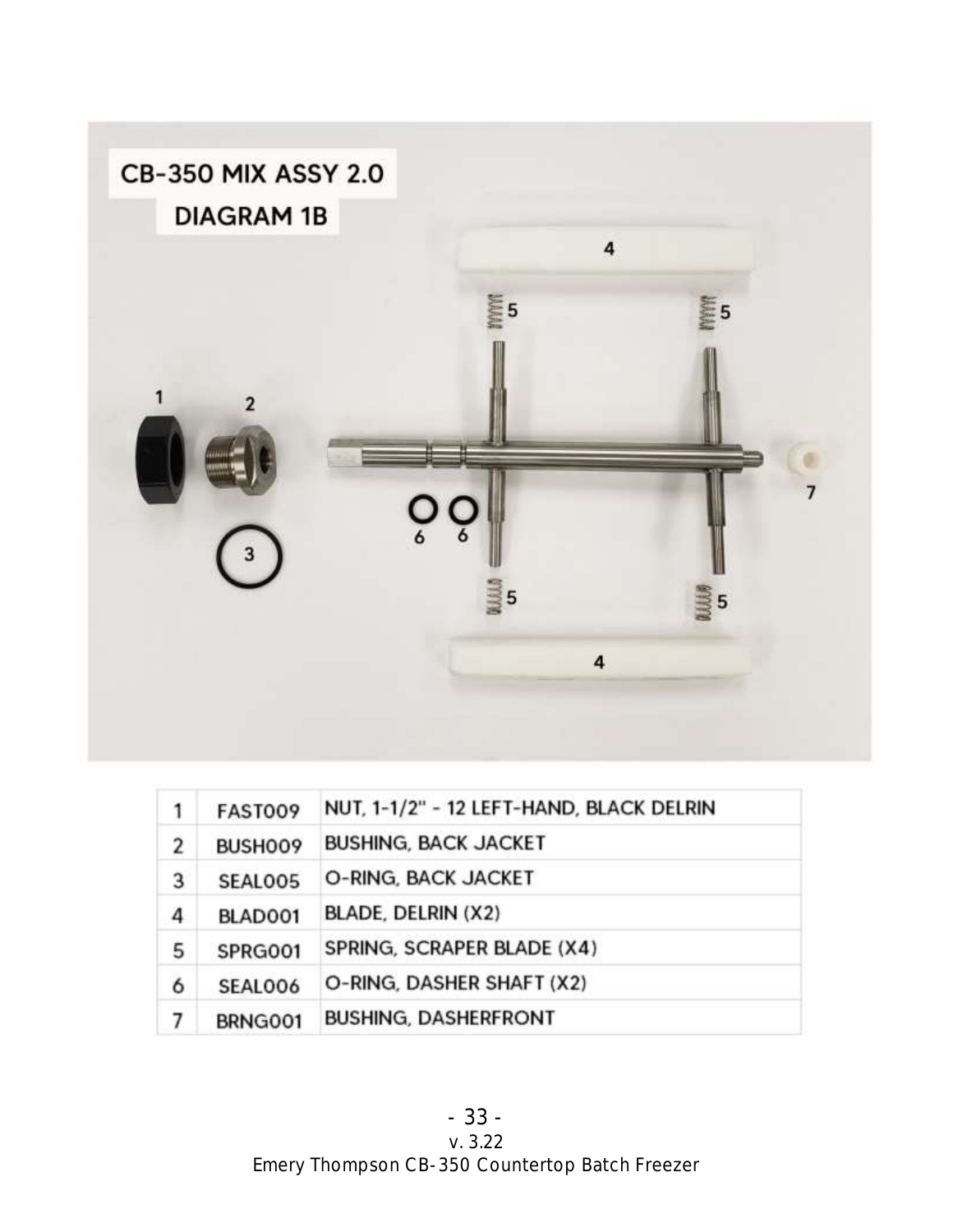

| 1 | <b>FAST009</b> | NUT, 1-1/2" - 12 LEFT-HAND, BLACK DELRIN |
|---|----------------|------------------------------------------|
| 2 | BUSH009        | <b>BUSHING, BACK JACKET</b>              |
| 3 | SEAL005        | O-RING, BACK JACKET                      |
| 4 | BLAD001        | BLADE, DELRIN (X2)                       |
| 5 | SPRG001        | SPRING, SCRAPER BLADE (X4)               |
| 6 | SEAL006        | O-RING, DASHER SHAFT (X2)                |
|   | BRNG001        | <b>BUSHING, DASHERFRONT</b>              |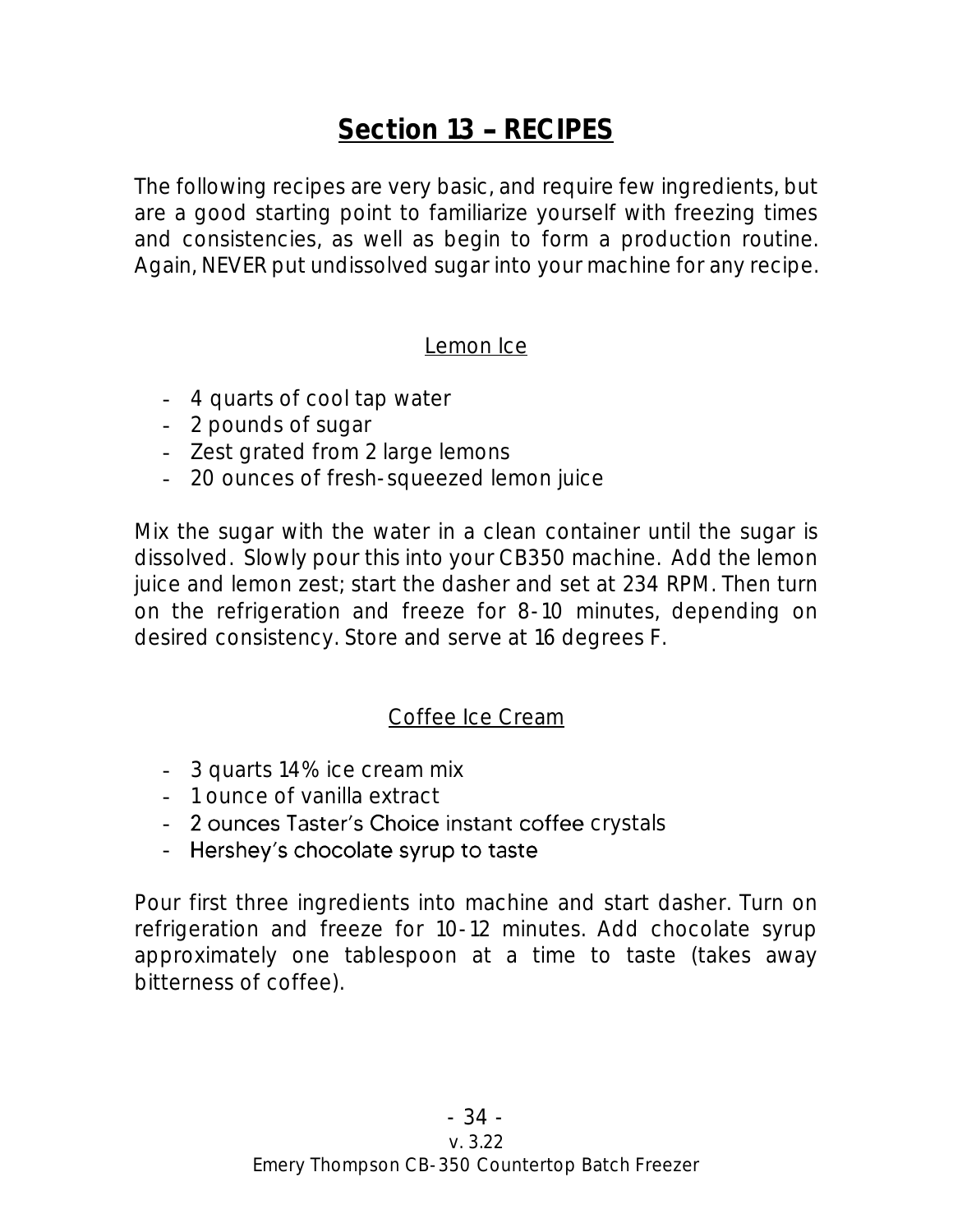## Section 13 - RECIPES

The following recipes are very basic, and require few ingredients, but are a good starting point to familiarize yourself with freezing times and consistencies, as well as begin to form a production routine. Again, NEVER put undissolved sugar into your machine for any recipe.

#### Lemon Ice

- 4 quarts of cool tap water
- 2 pounds of sugar
- Zest grated from 2 large lemons
- 20 ounces of fresh-squeezed lemon juice

Mix the sugar with the water in a clean container until the sugar is dissolved. Slowly pour this into your CB350 machine. Add the lemon juice and lemon zest; start the dasher and set at 234 RPM. Then turn on the refrigeration and freeze for 8-10 minutes, depending on desired consistency. Store and serve at 16 degrees F.

#### Coffee Ice Cream

- 3 quarts 14% ice cream mix
- 1 ounce of vanilla extract
- 2 ounces Taster's Choice instant coffee crystals
- Hershey's chocolate syrup to taste

Pour first three ingredients into machine and start dasher. Turn on refrigeration and freeze for 10-12 minutes. Add chocolate syrup approximately one tablespoon at a time to taste (takes away bitterness of coffee).